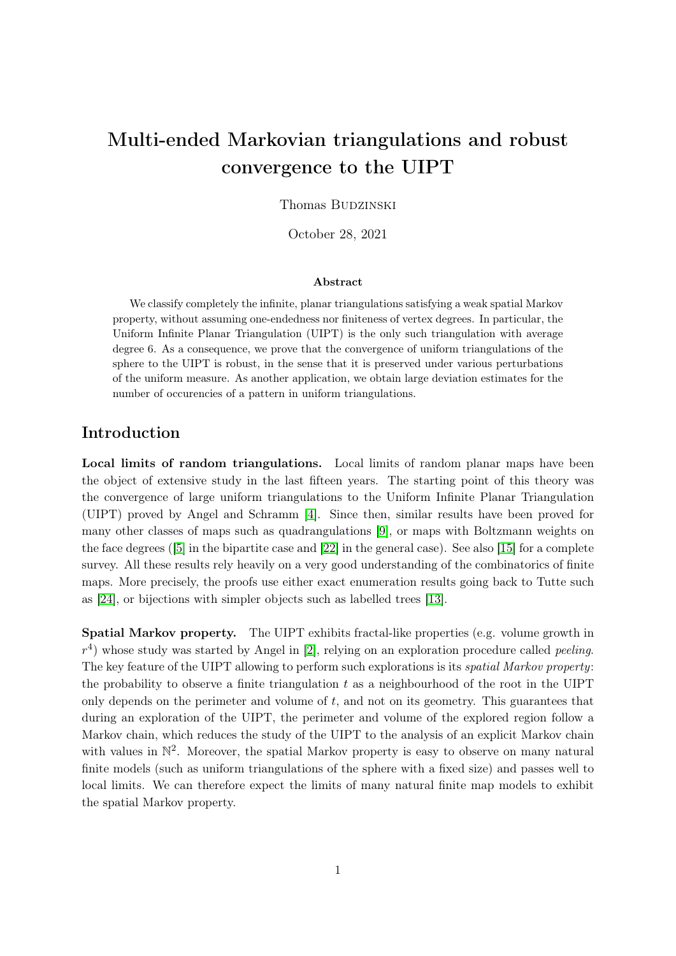# Multi-ended Markovian triangulations and robust convergence to the UIPT

Thomas BUDZINSKI

October 28, 2021

#### Abstract

We classify completely the infinite, planar triangulations satisfying a weak spatial Markov property, without assuming one-endedness nor finiteness of vertex degrees. In particular, the Uniform Infinite Planar Triangulation (UIPT) is the only such triangulation with average degree 6. As a consequence, we prove that the convergence of uniform triangulations of the sphere to the UIPT is robust, in the sense that it is preserved under various perturbations of the uniform measure. As another application, we obtain large deviation estimates for the number of occurencies of a pattern in uniform triangulations.

# Introduction

Local limits of random triangulations. Local limits of random planar maps have been the object of extensive study in the last fifteen years. The starting point of this theory was the convergence of large uniform triangulations to the Uniform Infinite Planar Triangulation (UIPT) proved by Angel and Schramm [\[4\]](#page-20-0). Since then, similar results have been proved for many other classes of maps such as quadrangulations [\[9\]](#page-20-1), or maps with Boltzmann weights on the face degrees ([\[5\]](#page-20-2) in the bipartite case and [\[22\]](#page-21-0) in the general case). See also [\[15\]](#page-21-1) for a complete survey. All these results rely heavily on a very good understanding of the combinatorics of finite maps. More precisely, the proofs use either exact enumeration results going back to Tutte such as [\[24\]](#page-21-2), or bijections with simpler objects such as labelled trees [\[13\]](#page-21-3).

Spatial Markov property. The UIPT exhibits fractal-like properties (e.g. volume growth in  $r<sup>4</sup>$ ) whose study was started by Angel in [\[2\]](#page-20-3), relying on an exploration procedure called *peeling*. The key feature of the UIPT allowing to perform such explorations is its *spatial Markov property*: the probability to observe a finite triangulation  $t$  as a neighbourhood of the root in the UIPT only depends on the perimeter and volume of  $t$ , and not on its geometry. This guarantees that during an exploration of the UIPT, the perimeter and volume of the explored region follow a Markov chain, which reduces the study of the UIPT to the analysis of an explicit Markov chain with values in  $\mathbb{N}^2$ . Moreover, the spatial Markov property is easy to observe on many natural finite models (such as uniform triangulations of the sphere with a fixed size) and passes well to local limits. We can therefore expect the limits of many natural finite map models to exhibit the spatial Markov property.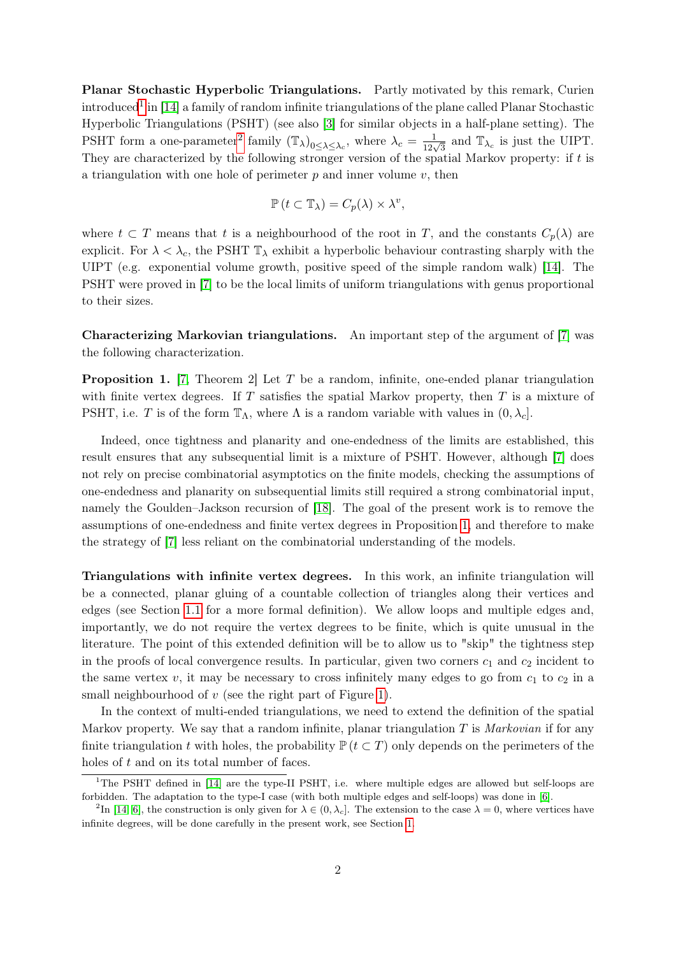Planar Stochastic Hyperbolic Triangulations. Partly motivated by this remark, Curien introduced<sup>[1](#page-1-0)</sup> in [\[14\]](#page-21-4) a family of random infinite triangulations of the plane called Planar Stochastic Hyperbolic Triangulations (PSHT) (see also [\[3\]](#page-20-4) for similar objects in a half-plane setting). The PSHT form a one-parameter<sup>[2](#page-1-1)</sup> family  $(\mathbb{T}_{\lambda})_{0 \leq \lambda \leq \lambda_c}$ , where  $\lambda_c = \frac{1}{12\sqrt{3}}$  and  $\mathbb{T}_{\lambda_c}$  is just the UIPT. They are characterized by the following stronger version of the spatial Markov property: if  $t$  is a triangulation with one hole of perimeter  $p$  and inner volume  $v$ , then

$$
\mathbb{P}\left(t\subset\mathbb{T}_{\lambda}\right)=C_{p}(\lambda)\times\lambda^{v},
$$

where  $t \subset T$  means that t is a neighbourhood of the root in T, and the constants  $C_p(\lambda)$  are explicit. For  $\lambda < \lambda_c$ , the PSHT  $\mathbb{T}_{\lambda}$  exhibit a hyperbolic behaviour contrasting sharply with the UIPT (e.g. exponential volume growth, positive speed of the simple random walk) [\[14\]](#page-21-4). The PSHT were proved in [\[7\]](#page-20-5) to be the local limits of uniform triangulations with genus proportional to their sizes.

Characterizing Markovian triangulations. An important step of the argument of [\[7\]](#page-20-5) was the following characterization.

<span id="page-1-2"></span>**Proposition 1.** [\[7,](#page-20-5) Theorem 2] Let T be a random, infinite, one-ended planar triangulation with finite vertex degrees. If  $T$  satisfies the spatial Markov property, then  $T$  is a mixture of PSHT, i.e. T is of the form  $\mathbb{T}_{\Lambda}$ , where  $\Lambda$  is a random variable with values in  $(0, \lambda_c]$ .

Indeed, once tightness and planarity and one-endedness of the limits are established, this result ensures that any subsequential limit is a mixture of PSHT. However, although [\[7\]](#page-20-5) does not rely on precise combinatorial asymptotics on the finite models, checking the assumptions of one-endedness and planarity on subsequential limits still required a strong combinatorial input, namely the Goulden–Jackson recursion of [\[18\]](#page-21-5). The goal of the present work is to remove the assumptions of one-endedness and finite vertex degrees in Proposition [1,](#page-1-2) and therefore to make the strategy of [\[7\]](#page-20-5) less reliant on the combinatorial understanding of the models.

Triangulations with infinite vertex degrees. In this work, an infinite triangulation will be a connected, planar gluing of a countable collection of triangles along their vertices and edges (see Section [1.1](#page-5-0) for a more formal definition). We allow loops and multiple edges and, importantly, we do not require the vertex degrees to be finite, which is quite unusual in the literature. The point of this extended definition will be to allow us to "skip" the tightness step in the proofs of local convergence results. In particular, given two corners  $c_1$  and  $c_2$  incident to the same vertex v, it may be necessary to cross infinitely many edges to go from  $c_1$  to  $c_2$  in a small neighbourhood of  $v$  (see the right part of Figure [1\)](#page-2-0).

In the context of multi-ended triangulations, we need to extend the definition of the spatial Markov property. We say that a random infinite, planar triangulation  $T$  is Markovian if for any finite triangulation t with holes, the probability  $\mathbb{P} (t \subset T)$  only depends on the perimeters of the holes of t and on its total number of faces.

<span id="page-1-0"></span><sup>&</sup>lt;sup>1</sup>The PSHT defined in [\[14\]](#page-21-4) are the type-II PSHT, i.e. where multiple edges are allowed but self-loops are forbidden. The adaptation to the type-I case (with both multiple edges and self-loops) was done in [\[6\]](#page-20-6).

<span id="page-1-1"></span><sup>&</sup>lt;sup>2</sup>In [\[14,](#page-21-4) [6\]](#page-20-6), the construction is only given for  $\lambda \in (0, \lambda_c]$ . The extension to the case  $\lambda = 0$ , where vertices have infinite degrees, will be done carefully in the present work, see Section [1.](#page-5-1)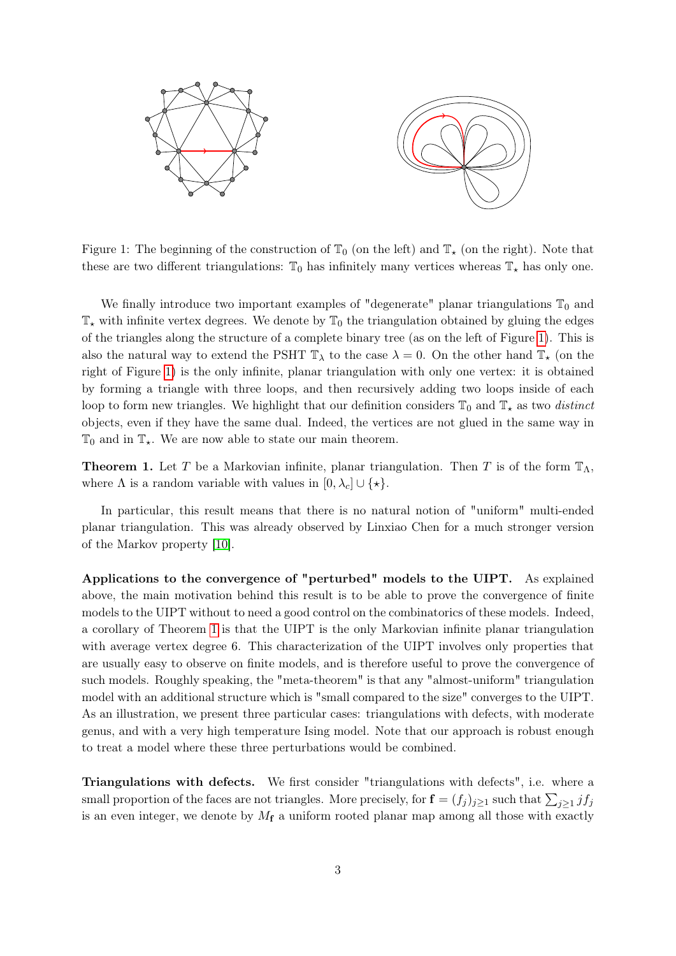

<span id="page-2-0"></span>Figure 1: The beginning of the construction of  $\mathbb{T}_0$  (on the left) and  $\mathbb{T}_\star$  (on the right). Note that these are two different triangulations:  $\mathbb{T}_0$  has infinitely many vertices whereas  $\mathbb{T}_*$  has only one.

We finally introduce two important examples of "degenerate" planar triangulations  $\mathbb{T}_0$  and  $\mathbb{T}_{\star}$  with infinite vertex degrees. We denote by  $\mathbb{T}_{0}$  the triangulation obtained by gluing the edges of the triangles along the structure of a complete binary tree (as on the left of Figure [1\)](#page-2-0). This is also the natural way to extend the PSHT  $\mathbb{T}_{\lambda}$  to the case  $\lambda = 0$ . On the other hand  $\mathbb{T}_{\star}$  (on the right of Figure [1\)](#page-2-0) is the only infinite, planar triangulation with only one vertex: it is obtained by forming a triangle with three loops, and then recursively adding two loops inside of each loop to form new triangles. We highlight that our definition considers  $\mathbb{T}_0$  and  $\mathbb{T}_*$  as two distinct objects, even if they have the same dual. Indeed, the vertices are not glued in the same way in  $\mathbb{T}_0$  and in  $\mathbb{T}_\star$ . We are now able to state our main theorem.

<span id="page-2-1"></span>**Theorem 1.** Let T be a Markovian infinite, planar triangulation. Then T is of the form  $\mathbb{T}_{\Lambda}$ , where  $\Lambda$  is a random variable with values in  $[0, \lambda_c] \cup \{\star\}.$ 

In particular, this result means that there is no natural notion of "uniform" multi-ended planar triangulation. This was already observed by Linxiao Chen for a much stronger version of the Markov property [\[10\]](#page-20-7).

Applications to the convergence of "perturbed" models to the UIPT. As explained above, the main motivation behind this result is to be able to prove the convergence of finite models to the UIPT without to need a good control on the combinatorics of these models. Indeed, a corollary of Theorem [1](#page-2-1) is that the UIPT is the only Markovian infinite planar triangulation with average vertex degree 6. This characterization of the UIPT involves only properties that are usually easy to observe on finite models, and is therefore useful to prove the convergence of such models. Roughly speaking, the "meta-theorem" is that any "almost-uniform" triangulation model with an additional structure which is "small compared to the size" converges to the UIPT. As an illustration, we present three particular cases: triangulations with defects, with moderate genus, and with a very high temperature Ising model. Note that our approach is robust enough to treat a model where these three perturbations would be combined.

Triangulations with defects. We first consider "triangulations with defects", i.e. where a small proportion of the faces are not triangles. More precisely, for  $\mathbf{f} = (f_j)_{j \geq 1}$  such that  $\sum_{j \geq 1} j f_j$ is an even integer, we denote by  $M_f$  a uniform rooted planar map among all those with exactly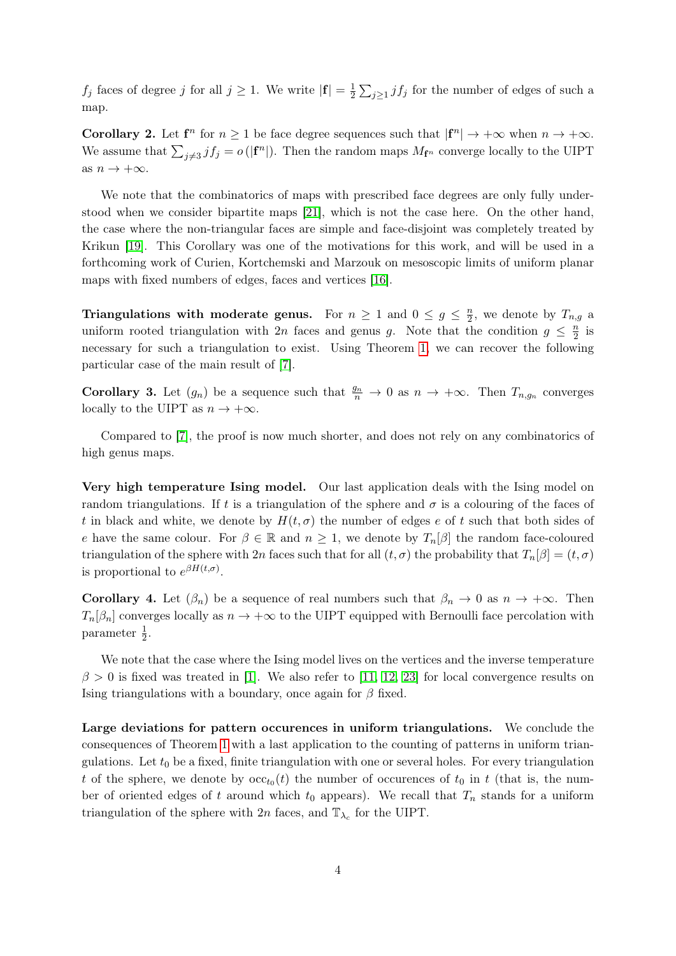$f_j$  faces of degree j for all  $j \geq 1$ . We write  $|\mathbf{f}| = \frac{1}{2}$  $\frac{1}{2}\sum_{j\geq 1}j f_j$  for the number of edges of such a map.

<span id="page-3-0"></span>**Corollary 2.** Let  $f^n$  for  $n \geq 1$  be face degree sequences such that  $|f^n| \to +\infty$  when  $n \to +\infty$ . We assume that  $\sum_{j\neq 3} f_j = o(|\mathbf{f}^n|)$ . Then the random maps  $M_{\mathbf{f}^n}$  converge locally to the UIPT as  $n \to +\infty$ .

We note that the combinatorics of maps with prescribed face degrees are only fully understood when we consider bipartite maps [\[21\]](#page-21-6), which is not the case here. On the other hand, the case where the non-triangular faces are simple and face-disjoint was completely treated by Krikun [\[19\]](#page-21-7). This Corollary was one of the motivations for this work, and will be used in a forthcoming work of Curien, Kortchemski and Marzouk on mesoscopic limits of uniform planar maps with fixed numbers of edges, faces and vertices [\[16\]](#page-21-8).

Triangulations with moderate genus. For  $n \geq 1$  and  $0 \leq g \leq \frac{n}{2}$  $\frac{n}{2}$ , we denote by  $T_{n,g}$  a uniform rooted triangulation with 2n faces and genus g. Note that the condition  $g \leq \frac{n}{2}$  $\frac{n}{2}$  is necessary for such a triangulation to exist. Using Theorem [1,](#page-2-1) we can recover the following particular case of the main result of [\[7\]](#page-20-5).

<span id="page-3-1"></span>**Corollary 3.** Let  $(g_n)$  be a sequence such that  $\frac{g_n}{n} \to 0$  as  $n \to +\infty$ . Then  $T_{n,g_n}$  converges locally to the UIPT as  $n \to +\infty$ .

Compared to [\[7\]](#page-20-5), the proof is now much shorter, and does not rely on any combinatorics of high genus maps.

Very high temperature Ising model. Our last application deals with the Ising model on random triangulations. If t is a triangulation of the sphere and  $\sigma$  is a colouring of the faces of t in black and white, we denote by  $H(t, \sigma)$  the number of edges e of t such that both sides of e have the same colour. For  $\beta \in \mathbb{R}$  and  $n \geq 1$ , we denote by  $T_n[\beta]$  the random face-coloured triangulation of the sphere with 2n faces such that for all  $(t, \sigma)$  the probability that  $T_n[\beta] = (t, \sigma)$ is proportional to  $e^{\beta H(t,\sigma)}$ .

<span id="page-3-2"></span>**Corollary 4.** Let  $(\beta_n)$  be a sequence of real numbers such that  $\beta_n \to 0$  as  $n \to +\infty$ . Then  $T_n[\beta_n]$  converges locally as  $n \to +\infty$  to the UIPT equipped with Bernoulli face percolation with parameter  $\frac{1}{2}$ .

We note that the case where the Ising model lives on the vertices and the inverse temperature  $\beta > 0$  is fixed was treated in [\[1\]](#page-20-8). We also refer to [\[11,](#page-21-9) [12,](#page-21-10) [23\]](#page-21-11) for local convergence results on Ising triangulations with a boundary, once again for  $\beta$  fixed.

Large deviations for pattern occurences in uniform triangulations. We conclude the consequences of Theorem [1](#page-2-1) with a last application to the counting of patterns in uniform triangulations. Let  $t_0$  be a fixed, finite triangulation with one or several holes. For every triangulation t of the sphere, we denote by  $\operatorname{occ}_{t_0}(t)$  the number of occurences of  $t_0$  in t (that is, the number of oriented edges of t around which  $t_0$  appears). We recall that  $T_n$  stands for a uniform triangulation of the sphere with  $2n$  faces, and  $\mathbb{T}_{\lambda_c}$  for the UIPT.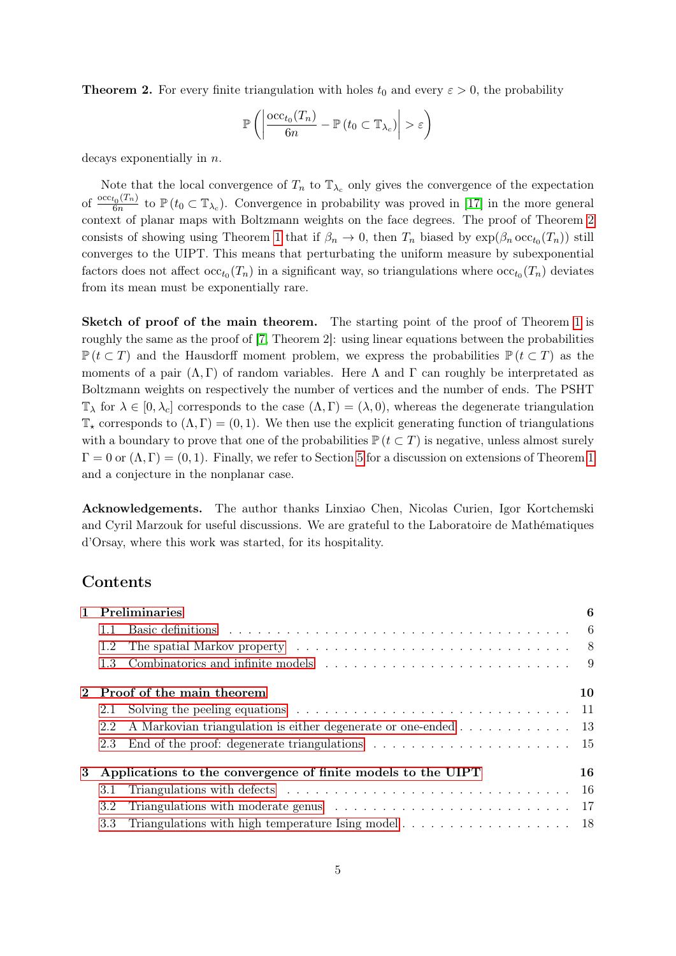<span id="page-4-0"></span>**Theorem 2.** For every finite triangulation with holes  $t_0$  and every  $\varepsilon > 0$ , the probability

$$
\mathbb{P}\left(\left|\frac{\mathrm{occ}_{t_0}(T_n)}{6n} - \mathbb{P}\left(t_0 \subset \mathbb{T}_{\lambda_c}\right)\right| > \varepsilon\right)
$$

decays exponentially in n.

Note that the local convergence of  $T_n$  to  $\mathbb{T}_{\lambda_c}$  only gives the convergence of the expectation of  $\frac{\operatorname{occ}_{t_0}(T_n)}{6n}$  $\frac{t_0(T_n)}{6n}$  to  $\mathbb{P}(t_0 \subset \mathbb{T}_{\lambda_c})$ . Convergence in probability was proved in [\[17\]](#page-21-12) in the more general context of planar maps with Boltzmann weights on the face degrees. The proof of Theorem [2](#page-4-0) consists of showing using Theorem [1](#page-2-1) that if  $\beta_n \to 0$ , then  $T_n$  biased by  $\exp(\beta_n \operatorname{occ}_{t_0}(T_n))$  still converges to the UIPT. This means that perturbating the uniform measure by subexponential factors does not affect  $\operatorname{occ}_{t_0}(T_n)$  in a significant way, so triangulations where  $\operatorname{occ}_{t_0}(T_n)$  deviates from its mean must be exponentially rare.

Sketch of proof of the main theorem. The starting point of the proof of Theorem [1](#page-2-1) is roughly the same as the proof of [\[7,](#page-20-5) Theorem 2]: using linear equations between the probabilities  $\mathbb{P} (t \subset T)$  and the Hausdorff moment problem, we express the probabilities  $\mathbb{P} (t \subset T)$  as the moments of a pair  $(\Lambda, \Gamma)$  of random variables. Here  $\Lambda$  and  $\Gamma$  can roughly be interpretated as Boltzmann weights on respectively the number of vertices and the number of ends. The PSHT  $\mathbb{T}_{\lambda}$  for  $\lambda \in [0, \lambda_c]$  corresponds to the case  $(\Lambda, \Gamma) = (\lambda, 0)$ , whereas the degenerate triangulation  $\mathbb{T}_{\star}$  corresponds to  $(\Lambda, \Gamma) = (0, 1)$ . We then use the explicit generating function of triangulations with a boundary to prove that one of the probabilities  $\mathbb{P} (t \subset T)$  is negative, unless almost surely  $\Gamma = 0$  or  $(\Lambda, \Gamma) = (0, 1)$  $(\Lambda, \Gamma) = (0, 1)$  $(\Lambda, \Gamma) = (0, 1)$ . Finally, we refer to Section [5](#page-19-0) for a discussion on extensions of Theorem 1 and a conjecture in the nonplanar case.

Acknowledgements. The author thanks Linxiao Chen, Nicolas Curien, Igor Kortchemski and Cyril Marzouk for useful discussions. We are grateful to the Laboratoire de Mathématiques d'Orsay, where this work was started, for its hospitality.

# Contents

|   | 1 Preliminaries                                              |                                                                                                                                                                                                                                | 6  |
|---|--------------------------------------------------------------|--------------------------------------------------------------------------------------------------------------------------------------------------------------------------------------------------------------------------------|----|
|   | 1.1                                                          | Basic definitions experience in the contract of the contract of the contract of the contract of the contract of the contract of the contract of the contract of the contract of the contract of the contract of the contract o |    |
|   | 1.2                                                          |                                                                                                                                                                                                                                |    |
|   | 1.3                                                          |                                                                                                                                                                                                                                |    |
|   | 2 Proof of the main theorem                                  |                                                                                                                                                                                                                                | 10 |
|   | 2.1                                                          |                                                                                                                                                                                                                                |    |
|   | 2.2                                                          | A Markovian triangulation is either degenerate or one-ended 13                                                                                                                                                                 |    |
|   | 2.3                                                          |                                                                                                                                                                                                                                |    |
| 3 | Applications to the convergence of finite models to the UIPT |                                                                                                                                                                                                                                | 16 |
|   | 3.1                                                          | Triangulations with defects $\ldots \ldots \ldots \ldots \ldots \ldots \ldots \ldots \ldots \ldots \ldots 16$                                                                                                                  |    |
|   | 3.2                                                          |                                                                                                                                                                                                                                |    |
|   | 3.3                                                          | Triangulations with high temperature Ising model 18                                                                                                                                                                            |    |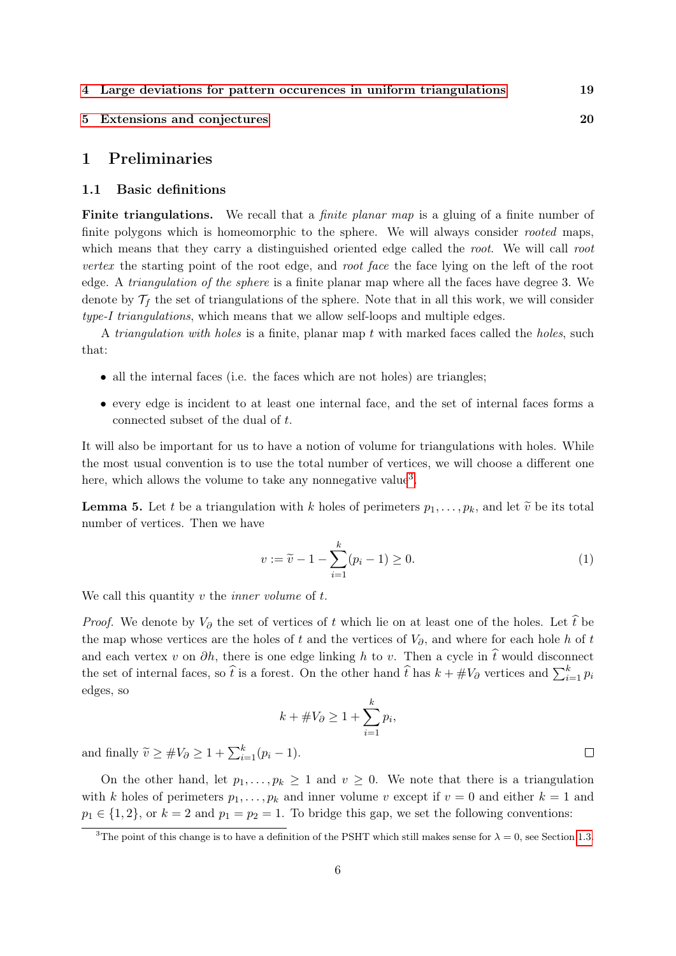- [4 Large deviations for pattern occurences in uniform triangulations](#page-18-0) 19
- [5 Extensions and conjectures](#page-19-0) 20

## <span id="page-5-1"></span>1 Preliminaries

#### <span id="page-5-0"></span>1.1 Basic definitions

Finite triangulations. We recall that a *finite planar map* is a gluing of a finite number of finite polygons which is homeomorphic to the sphere. We will always consider *rooted* maps, which means that they carry a distinguished oriented edge called the root. We will call root vertex the starting point of the root edge, and root face the face lying on the left of the root edge. A triangulation of the sphere is a finite planar map where all the faces have degree 3. We denote by  $\mathcal{T}_f$  the set of triangulations of the sphere. Note that in all this work, we will consider type-I triangulations, which means that we allow self-loops and multiple edges.

A *triangulation with holes* is a finite, planar map  $t$  with marked faces called the *holes*, such that:

- all the internal faces (i.e. the faces which are not holes) are triangles;
- every edge is incident to at least one internal face, and the set of internal faces forms a connected subset of the dual of t.

It will also be important for us to have a notion of volume for triangulations with holes. While the most usual convention is to use the total number of vertices, we will choose a different one here, which allows the volume to take any nonnegative value<sup>[3](#page-5-2)</sup>.

**Lemma 5.** Let t be a triangulation with k holes of perimeters  $p_1, \ldots, p_k$ , and let  $\tilde{v}$  be its total number of vertices. Then we have

<span id="page-5-3"></span>
$$
v := \tilde{v} - 1 - \sum_{i=1}^{k} (p_i - 1) \ge 0.
$$
 (1)

We call this quantity  $v$  the *inner volume* of  $t$ .

*Proof.* We denote by  $V_{\partial}$  the set of vertices of t which lie on at least one of the holes. Let  $\hat{t}$  be the map whose vertices are the holes of t and the vertices of  $V_{\partial}$ , and where for each hole h of t and each vertex v on  $\partial h$ , there is one edge linking h to v. Then a cycle in  $\hat{t}$  would disconnect the set of internal faces, so  $\hat{t}$  is a forest. On the other hand  $\hat{t}$  has  $k + #V_{\partial}$  vertices and  $\sum_{i=1}^{k} p_i$ edges, so

$$
k + \#V_{\partial} \ge 1 + \sum_{i=1}^{k} p_i,
$$

and finally  $\widetilde{v} \ge #V_\partial \ge 1 + \sum_{i=1}^k (p_i - 1)$ .

On the other hand, let  $p_1, \ldots, p_k \geq 1$  and  $v \geq 0$ . We note that there is a triangulation with k holes of perimeters  $p_1, \ldots, p_k$  and inner volume v except if  $v = 0$  and either  $k = 1$  and  $p_1 \in \{1, 2\}$ , or  $k = 2$  and  $p_1 = p_2 = 1$ . To bridge this gap, we set the following conventions:

 $\Box$ 

<span id="page-5-2"></span><sup>&</sup>lt;sup>3</sup>The point of this change is to have a definition of the PSHT which still makes sense for  $\lambda = 0$ , see Section [1.3.](#page-8-0)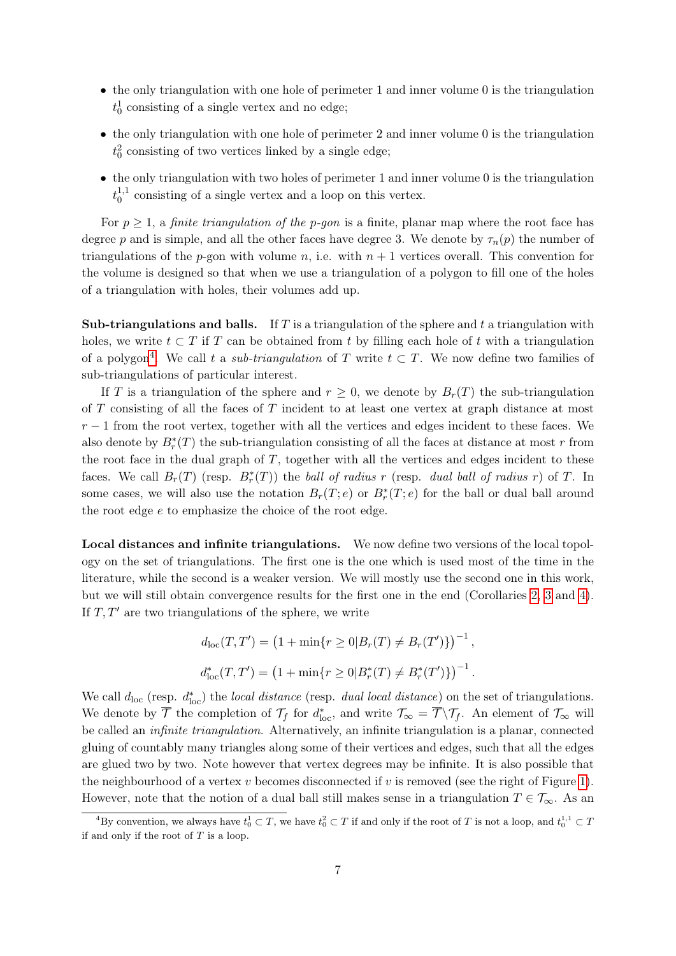- the only triangulation with one hole of perimeter 1 and inner volume 0 is the triangulation  $t_0^1$  consisting of a single vertex and no edge;
- the only triangulation with one hole of perimeter 2 and inner volume 0 is the triangulation  $t_0^2$  consisting of two vertices linked by a single edge;
- the only triangulation with two holes of perimeter 1 and inner volume 0 is the triangulation  $t_0^{1,1}$  $_{0}^{1,1}$  consisting of a single vertex and a loop on this vertex.

For  $p \geq 1$ , a *finite triangulation of the p-gon* is a finite, planar map where the root face has degree p and is simple, and all the other faces have degree 3. We denote by  $\tau_n(p)$  the number of triangulations of the p-gon with volume n, i.e. with  $n + 1$  vertices overall. This convention for the volume is designed so that when we use a triangulation of a polygon to fill one of the holes of a triangulation with holes, their volumes add up.

**Sub-triangulations and balls.** If T is a triangulation of the sphere and t a triangulation with holes, we write  $t \subset T$  if T can be obtained from t by filling each hole of t with a triangulation of a polygon<sup>[4](#page-6-0)</sup>. We call t a *sub-triangulation* of T write  $t \subset T$ . We now define two families of sub-triangulations of particular interest.

If T is a triangulation of the sphere and  $r \geq 0$ , we denote by  $B_r(T)$  the sub-triangulation of  $T$  consisting of all the faces of  $T$  incident to at least one vertex at graph distance at most  $r-1$  from the root vertex, together with all the vertices and edges incident to these faces. We also denote by  $B_r^*(T)$  the sub-triangulation consisting of all the faces at distance at most r from the root face in the dual graph of  $T$ , together with all the vertices and edges incident to these faces. We call  $B_r(T)$  (resp.  $B_r^*(T)$ ) the ball of radius r (resp. dual ball of radius r) of T. In some cases, we will also use the notation  $B_r(T; e)$  or  $B_r^*(T; e)$  for the ball or dual ball around the root edge e to emphasize the choice of the root edge.

Local distances and infinite triangulations. We now define two versions of the local topology on the set of triangulations. The first one is the one which is used most of the time in the literature, while the second is a weaker version. We will mostly use the second one in this work, but we will still obtain convergence results for the first one in the end (Corollaries [2,](#page-3-0) [3](#page-3-1) and [4\)](#page-3-2). If  $T, T'$  are two triangulations of the sphere, we write

$$
d_{\rm loc}(T, T') = (1 + \min\{r \ge 0 | B_r(T) \ne B_r(T')\})^{-1},
$$
  

$$
d_{\rm loc}^*(T, T') = (1 + \min\{r \ge 0 | B_r^*(T) \ne B_r^*(T')\})^{-1}.
$$

We call  $d_{\text{loc}}$  (resp.  $d_{\text{loc}}^*$ ) the *local distance* (resp. *dual local distance*) on the set of triangulations. We denote by  $\overline{\mathcal{T}}$  the completion of  $\mathcal{T}_f$  for  $d^*_{\text{loc}}$ , and write  $\mathcal{T}_{\infty} = \overline{\mathcal{T}} \setminus \mathcal{T}_f$ . An element of  $\mathcal{T}_{\infty}$  will be called an infinite triangulation. Alternatively, an infinite triangulation is a planar, connected gluing of countably many triangles along some of their vertices and edges, such that all the edges are glued two by two. Note however that vertex degrees may be infinite. It is also possible that the neighbourhood of a vertex  $v$  becomes disconnected if  $v$  is removed (see the right of Figure [1\)](#page-2-0). However, note that the notion of a dual ball still makes sense in a triangulation  $T \in \mathcal{T}_{\infty}$ . As an

<span id="page-6-0"></span><sup>&</sup>lt;sup>4</sup>By convention, we always have  $t_0^1 \subset T$ , we have  $t_0^2 \subset T$  if and only if the root of T is not a loop, and  $t_0^{1,1} \subset T$ if and only if the root of  $T$  is a loop.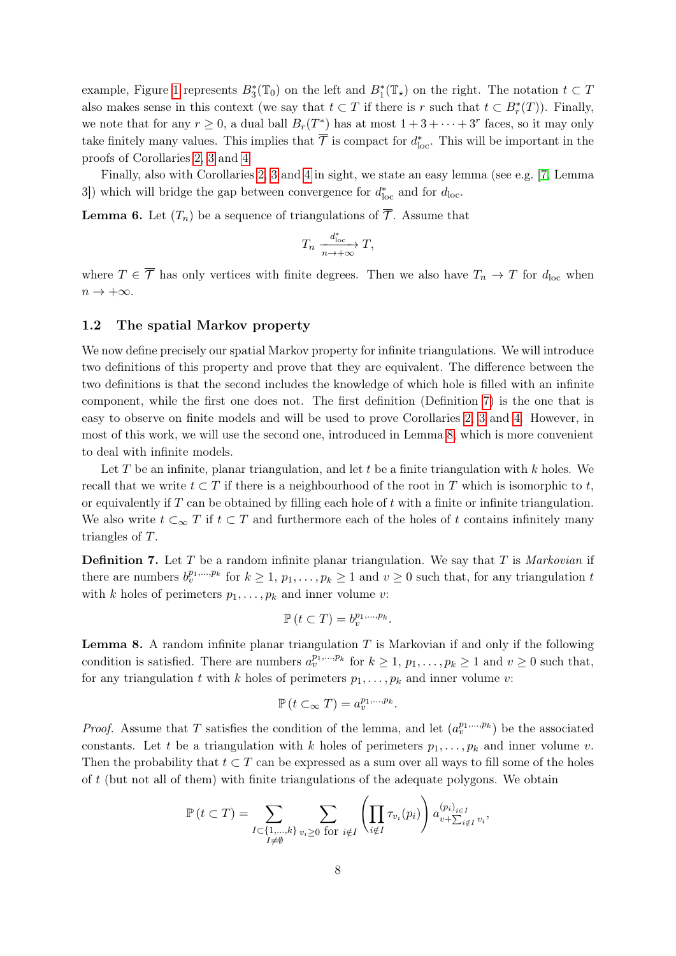example, Figure [1](#page-2-0) represents  $B_3^*(\mathbb{T}_0)$  on the left and  $B_1^*(\mathbb{T}_\star)$  on the right. The notation  $t \subset T$ also makes sense in this context (we say that  $t \subset T$  if there is r such that  $t \subset B_r^*(T)$ ). Finally, we note that for any  $r \geq 0$ , a dual ball  $B_r(T^*)$  has at most  $1+3+\cdots+3^r$  faces, so it may only take finitely many values. This implies that  $\overline{\mathcal{T}}$  is compact for  $d_{\text{loc}}^*$ . This will be important in the proofs of Corollaries [2,](#page-3-0) [3](#page-3-1) and [4.](#page-3-2)

Finally, also with Corollaries [2,](#page-3-0) [3](#page-3-1) and [4](#page-3-2) in sight, we state an easy lemma (see e.g. [\[7,](#page-20-5) Lemma 3]) which will bridge the gap between convergence for  $d_{\text{loc}}^*$  and for  $d_{\text{loc}}$ .

<span id="page-7-3"></span>**Lemma 6.** Let  $(T_n)$  be a sequence of triangulations of  $\overline{\mathcal{T}}$ . Assume that

$$
T_n \xrightarrow[n \to +\infty]{d_{\text{loc}}^*} T,
$$

where  $T \in \overline{\mathcal{T}}$  has only vertices with finite degrees. Then we also have  $T_n \to T$  for  $d_{\text{loc}}$  when  $n \to +\infty$ .

#### <span id="page-7-0"></span>1.2 The spatial Markov property

We now define precisely our spatial Markov property for infinite triangulations. We will introduce two definitions of this property and prove that they are equivalent. The difference between the two definitions is that the second includes the knowledge of which hole is filled with an infinite component, while the first one does not. The first definition (Definition [7\)](#page-7-1) is the one that is easy to observe on finite models and will be used to prove Corollaries [2,](#page-3-0) [3](#page-3-1) and [4.](#page-3-2) However, in most of this work, we will use the second one, introduced in Lemma [8,](#page-7-2) which is more convenient to deal with infinite models.

Let T be an infinite, planar triangulation, and let t be a finite triangulation with  $k$  holes. We recall that we write  $t \subset T$  if there is a neighbourhood of the root in T which is isomorphic to t, or equivalently if  $T$  can be obtained by filling each hole of  $t$  with a finite or infinite triangulation. We also write  $t \subset_{\infty} T$  if  $t \subset T$  and furthermore each of the holes of t contains infinitely many triangles of T.

<span id="page-7-1"></span>**Definition 7.** Let T be a random infinite planar triangulation. We say that T is *Markovian* if there are numbers  $b_v^{p_1,...,p_k}$  for  $k \geq 1$ ,  $p_1,...,p_k \geq 1$  and  $v \geq 0$  such that, for any triangulation t with k holes of perimeters  $p_1, \ldots, p_k$  and inner volume v:

$$
\mathbb{P}\left(t\subset T\right)=b_v^{p_1,\ldots,p_k}.
$$

<span id="page-7-2"></span>**Lemma 8.** A random infinite planar triangulation  $T$  is Markovian if and only if the following condition is satisfied. There are numbers  $a_v^{p_1,...,p_k}$  for  $k \geq 1$ ,  $p_1,...,p_k \geq 1$  and  $v \geq 0$  such that, for any triangulation t with k holes of perimeters  $p_1, \ldots, p_k$  and inner volume v:

$$
\mathbb{P}\left(t\subset_{\infty}T\right)=a_v^{p_1,\ldots,p_k}.
$$

*Proof.* Assume that T satisfies the condition of the lemma, and let  $(a_v^{p_1,...,p_k})$  be the associated constants. Let t be a triangulation with k holes of perimeters  $p_1, \ldots, p_k$  and inner volume v. Then the probability that  $t \subset T$  can be expressed as a sum over all ways to fill some of the holes of  $t$  (but not all of them) with finite triangulations of the adequate polygons. We obtain

$$
\mathbb{P}(t \subset T) = \sum_{\substack{I \subset \{1,\ldots,k\} \\ I \neq \emptyset}} \sum_{v_i \ge 0 \text{ for } i \notin I} \left( \prod_{i \notin I} \tau_{v_i}(p_i) \right) a_{v + \sum_{i \notin I} v_i}^{(p_i)_{i \in I}},
$$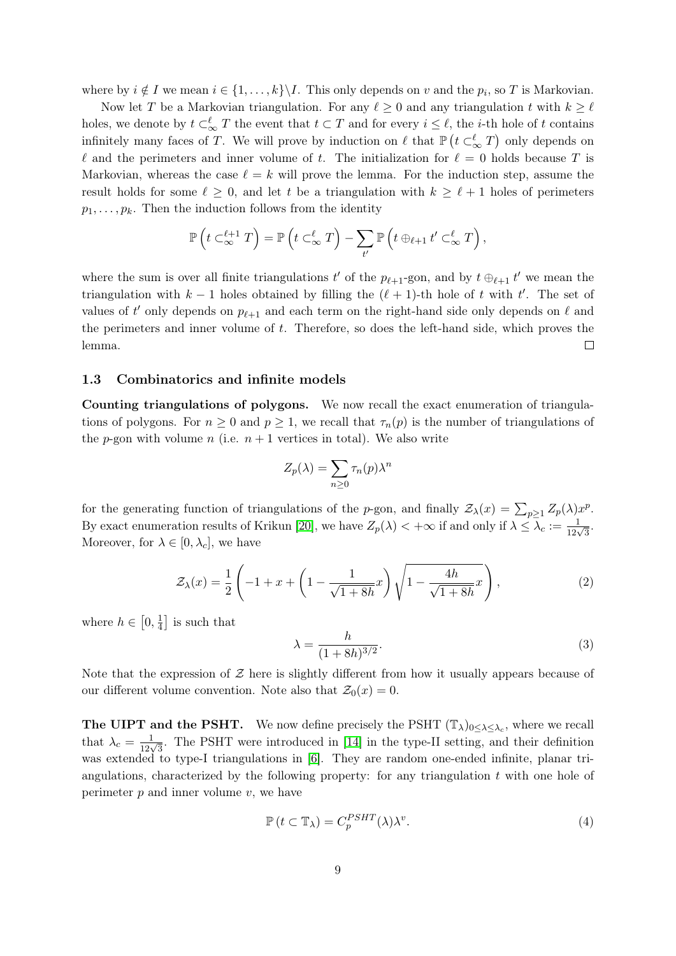where by  $i \notin I$  we mean  $i \in \{1, ..., k\} \backslash I$ . This only depends on v and the  $p_i$ , so T is Markovian.

Now let T be a Markovian triangulation. For any  $\ell \geq 0$  and any triangulation t with  $k \geq \ell$ holes, we denote by  $t \subset_{\infty}^{\ell} T$  the event that  $t \subset T$  and for every  $i \leq \ell$ , the *i*-th hole of t contains infinitely many faces of T. We will prove by induction on  $\ell$  that  $\mathbb{P}\left(t \subset_{\infty}^{\ell} T\right)$  only depends on  $\ell$  and the perimeters and inner volume of t. The initialization for  $\ell = 0$  holds because T is Markovian, whereas the case  $\ell = k$  will prove the lemma. For the induction step, assume the result holds for some  $\ell \geq 0$ , and let t be a triangulation with  $k \geq \ell + 1$  holes of perimeters  $p_1, \ldots, p_k$ . Then the induction follows from the identity

$$
\mathbb{P}\left(t\subset_{\infty}^{\ell+1}T\right)=\mathbb{P}\left(t\subset_{\infty}^{\ell}T\right)-\sum_{t'}\mathbb{P}\left(t\oplus_{\ell+1}t'\subset_{\infty}^{\ell}T\right),
$$

where the sum is over all finite triangulations  $t'$  of the  $p_{\ell+1}$ -gon, and by  $t \oplus_{\ell+1} t'$  we mean the triangulation with  $k - 1$  holes obtained by filling the  $(\ell + 1)$ -th hole of t with t'. The set of values of t' only depends on  $p_{\ell+1}$  and each term on the right-hand side only depends on  $\ell$  and the perimeters and inner volume of t. Therefore, so does the left-hand side, which proves the lemma.  $\Box$ 

#### <span id="page-8-0"></span>1.3 Combinatorics and infinite models

Counting triangulations of polygons. We now recall the exact enumeration of triangulations of polygons. For  $n \geq 0$  and  $p \geq 1$ , we recall that  $\tau_n(p)$  is the number of triangulations of the p-gon with volume n (i.e.  $n + 1$  vertices in total). We also write

$$
Z_p(\lambda) = \sum_{n \ge 0} \tau_n(p) \lambda^n
$$

for the generating function of triangulations of the p-gon, and finally  $\mathcal{Z}_{\lambda}(x) = \sum_{p\geq 1} Z_p(\lambda) x^p$ . By exact enumeration results of Krikun [\[20\]](#page-21-13), we have  $Z_p(\lambda) < +\infty$  if and only if  $\lambda \leq \lambda_c := \frac{1}{12\sqrt{3}}$ . Moreover, for  $\lambda \in [0, \lambda_c]$ , we have

<span id="page-8-3"></span>
$$
\mathcal{Z}_{\lambda}(x) = \frac{1}{2} \left( -1 + x + \left( 1 - \frac{1}{\sqrt{1 + 8h}} x \right) \sqrt{1 - \frac{4h}{\sqrt{1 + 8h}} x} \right),\tag{2}
$$

where  $h \in [0, \frac{1}{4}]$  $\frac{1}{4}$  is such that

<span id="page-8-1"></span>
$$
\lambda = \frac{h}{(1+8h)^{3/2}}.\tag{3}
$$

Note that the expression of  $\mathcal Z$  here is slightly different from how it usually appears because of our different volume convention. Note also that  $\mathcal{Z}_0(x) = 0$ .

**The UIPT and the PSHT.** We now define precisely the PSHT  $(\mathbb{T}_{\lambda})_{0 \leq \lambda \leq \lambda_c}$ , where we recall that  $\lambda_c = \frac{1}{12\sqrt{3}}$ . The PSHT were introduced in [\[14\]](#page-21-4) in the type-II setting, and their definition was extended to type-I triangulations in [\[6\]](#page-20-6). They are random one-ended infinite, planar triangulations, characterized by the following property: for any triangulation  $t$  with one hole of perimeter  $p$  and inner volume  $v$ , we have

<span id="page-8-2"></span>
$$
\mathbb{P}\left(t \subset \mathbb{T}_{\lambda}\right) = C_p^{PSHT}(\lambda)\lambda^v. \tag{4}
$$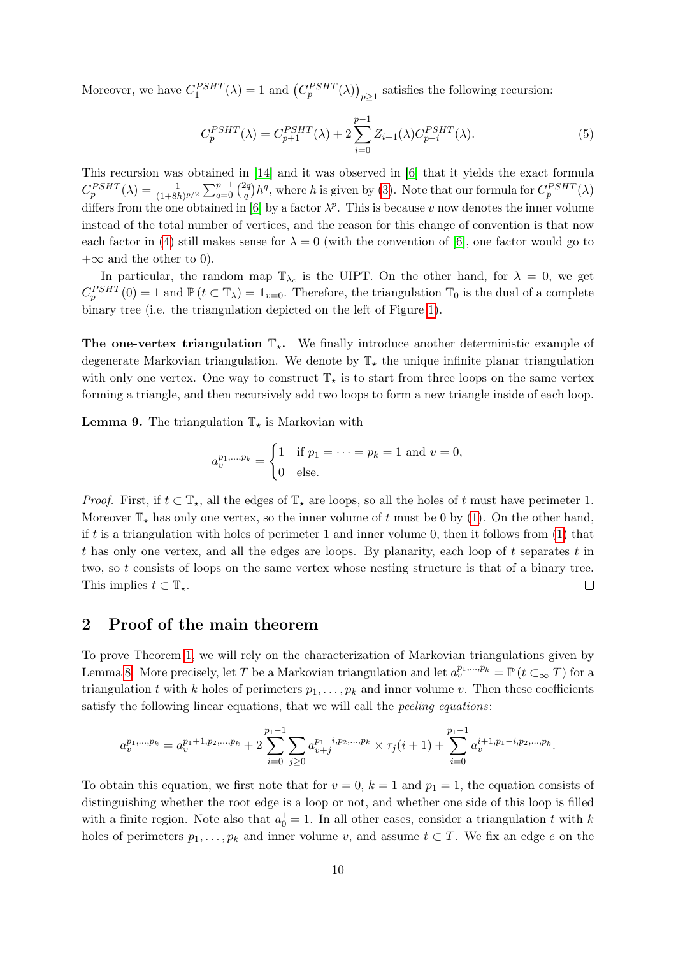Moreover, we have  $C_1^{PSHT}(\lambda) = 1$  and  $(C_p^{PSHT}(\lambda))_{p \geq 1}$  satisfies the following recursion:

<span id="page-9-1"></span>
$$
C_p^{PSHT}(\lambda) = C_{p+1}^{PSHT}(\lambda) + 2 \sum_{i=0}^{p-1} Z_{i+1}(\lambda) C_{p-i}^{PSHT}(\lambda).
$$
 (5)

This recursion was obtained in [\[14\]](#page-21-4) and it was observed in [\[6\]](#page-20-6) that it yields the exact formula  $C_p^{PSHT}(\lambda) = \frac{1}{(1+8h)^{p/2}} \sum_{q=0}^{p-1} {2q \choose q}$  $\int_q^{2q} h^q$ , where h is given by [\(3\)](#page-8-1). Note that our formula for  $C_p^{PSHT}(\lambda)$ differs from the one obtained in [\[6\]](#page-20-6) by a factor  $\lambda^p$ . This is because v now denotes the inner volume instead of the total number of vertices, and the reason for this change of convention is that now each factor in [\(4\)](#page-8-2) still makes sense for  $\lambda = 0$  (with the convention of [\[6\]](#page-20-6), one factor would go to  $+\infty$  and the other to 0).

In particular, the random map  $\mathbb{T}_{\lambda_c}$  is the UIPT. On the other hand, for  $\lambda = 0$ , we get  $C_p^{PSHT}(0) = 1$  and  $\mathbb{P}(t \subset \mathbb{T}_\lambda) = \mathbb{1}_{v=0}$ . Therefore, the triangulation  $\mathbb{T}_0$  is the dual of a complete binary tree (i.e. the triangulation depicted on the left of Figure [1\)](#page-2-0).

The one-vertex triangulation  $\mathbb{T}_{\star}$ . We finally introduce another deterministic example of degenerate Markovian triangulation. We denote by  $\mathbb{T}_{\star}$  the unique infinite planar triangulation with only one vertex. One way to construct  $\mathbb{T}_{\star}$  is to start from three loops on the same vertex forming a triangle, and then recursively add two loops to form a new triangle inside of each loop.

<span id="page-9-2"></span>**Lemma 9.** The triangulation  $\mathbb{T}_\star$  is Markovian with

$$
a_v^{p_1,...,p_k} = \begin{cases} 1 & \text{if } p_1 = \dots = p_k = 1 \text{ and } v = 0, \\ 0 & \text{else.} \end{cases}
$$

*Proof.* First, if  $t \subset \mathbb{T}_\star$ , all the edges of  $\mathbb{T}_\star$  are loops, so all the holes of t must have perimeter 1. Moreover  $\mathbb{T}_*$  has only one vertex, so the inner volume of t must be 0 by [\(1\)](#page-5-3). On the other hand, if t is a triangulation with holes of perimeter 1 and inner volume 0, then it follows from  $(1)$  that t has only one vertex, and all the edges are loops. By planarity, each loop of  $t$  separates  $t$  in two, so t consists of loops on the same vertex whose nesting structure is that of a binary tree. This implies  $t \subset \mathbb{T}_{\star}$ .  $\Box$ 

# <span id="page-9-0"></span>2 Proof of the main theorem

To prove Theorem [1,](#page-2-1) we will rely on the characterization of Markovian triangulations given by Lemma [8.](#page-7-2) More precisely, let T be a Markovian triangulation and let  $a_v^{p_1,...,p_k} = \mathbb{P} (t \subset_{\infty} T)$  for a triangulation t with k holes of perimeters  $p_1, \ldots, p_k$  and inner volume v. Then these coefficients satisfy the following linear equations, that we will call the peeling equations:

$$
a_v^{p_1,\ldots,p_k} = a_v^{p_1+1,p_2,\ldots,p_k} + 2\sum_{i=0}^{p_1-1} \sum_{j\geq 0} a_{v+j}^{p_1-i,p_2,\ldots,p_k} \times \tau_j(i+1) + \sum_{i=0}^{p_1-1} a_v^{i+1,p_1-i,p_2,\ldots,p_k}.
$$

To obtain this equation, we first note that for  $v = 0$ ,  $k = 1$  and  $p_1 = 1$ , the equation consists of distinguishing whether the root edge is a loop or not, and whether one side of this loop is filled with a finite region. Note also that  $a_0^1 = 1$ . In all other cases, consider a triangulation t with k holes of perimeters  $p_1, \ldots, p_k$  and inner volume v, and assume  $t \subset T$ . We fix an edge e on the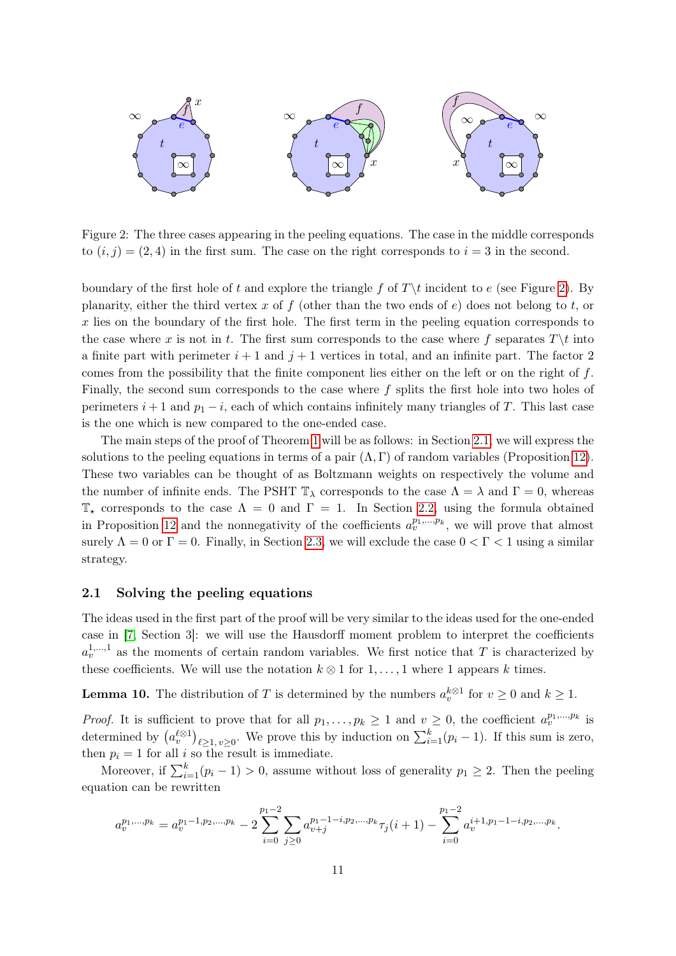

<span id="page-10-1"></span>Figure 2: The three cases appearing in the peeling equations. The case in the middle corresponds to  $(i, j) = (2, 4)$  in the first sum. The case on the right corresponds to  $i = 3$  in the second.

boundary of the first hole of t and explore the triangle f of  $T\setminus t$  incident to e (see Figure [2\)](#page-10-1). By planarity, either the third vertex x of f (other than the two ends of e) does not belong to t, or  $x$  lies on the boundary of the first hole. The first term in the peeling equation corresponds to the case where x is not in t. The first sum corresponds to the case where f separates  $T\setminus t$  into a finite part with perimeter  $i+1$  and  $j+1$  vertices in total, and an infinite part. The factor 2 comes from the possibility that the finite component lies either on the left or on the right of  $f$ . Finally, the second sum corresponds to the case where  $f$  splits the first hole into two holes of perimeters  $i + 1$  and  $p_1 - i$ , each of which contains infinitely many triangles of T. This last case is the one which is new compared to the one-ended case.

The main steps of the proof of Theorem [1](#page-2-1) will be as follows: in Section [2.1,](#page-10-0) we will express the solutions to the peeling equations in terms of a pair  $(\Lambda, \Gamma)$  of random variables (Proposition [12\)](#page-12-1). These two variables can be thought of as Boltzmann weights on respectively the volume and the number of infinite ends. The PSHT  $\mathbb{T}_{\lambda}$  corresponds to the case  $\Lambda = \lambda$  and  $\Gamma = 0$ , whereas  $\mathbb{T}_{\star}$  corresponds to the case  $\Lambda = 0$  and  $\Gamma = 1$ . In Section [2.2,](#page-12-0) using the formula obtained in Proposition [12](#page-12-1) and the nonnegativity of the coefficients  $a_v^{p_1,...,p_k}$ , we will prove that almost surely  $\Lambda = 0$  or  $\Gamma = 0$ . Finally, in Section [2.3,](#page-14-0) we will exclude the case  $0 < \Gamma < 1$  using a similar strategy.

#### <span id="page-10-0"></span>2.1 Solving the peeling equations

The ideas used in the first part of the proof will be very similar to the ideas used for the one-ended case in [\[7,](#page-20-5) Section 3]: we will use the Hausdorff moment problem to interpret the coefficients  $a_v^{1,...,1}$  as the moments of certain random variables. We first notice that T is characterized by these coefficients. We will use the notation  $k \otimes 1$  for  $1, \ldots, 1$  where 1 appears k times.

<span id="page-10-2"></span>**Lemma 10.** The distribution of T is determined by the numbers  $a_v^{k\otimes 1}$  for  $v \ge 0$  and  $k \ge 1$ .

*Proof.* It is sufficient to prove that for all  $p_1, \ldots, p_k \ge 1$  and  $v \ge 0$ , the coefficient  $a_v^{p_1,\ldots,p_k}$  is determined by  $(a_v^{\ell\otimes 1})_{\ell\geq 1, v\geq 0}$ . We prove this by induction on  $\sum_{i=1}^k (p_i-1)$ . If this sum is zero, then  $p_i = 1$  for all i so the result is immediate.

Moreover, if  $\sum_{i=1}^{k} (p_i - 1) > 0$ , assume without loss of generality  $p_1 \geq 2$ . Then the peeling equation can be rewritten

$$
a_v^{p_1,\ldots,p_k} = a_v^{p_1-1,p_2,\ldots,p_k} - 2\sum_{i=0}^{p_1-2} \sum_{j\geq 0} a_{v+j}^{p_1-1-i,p_2,\ldots,p_k} \tau_j(i+1) - \sum_{i=0}^{p_1-2} a_v^{i+1,p_1-1-i,p_2,\ldots,p_k}.
$$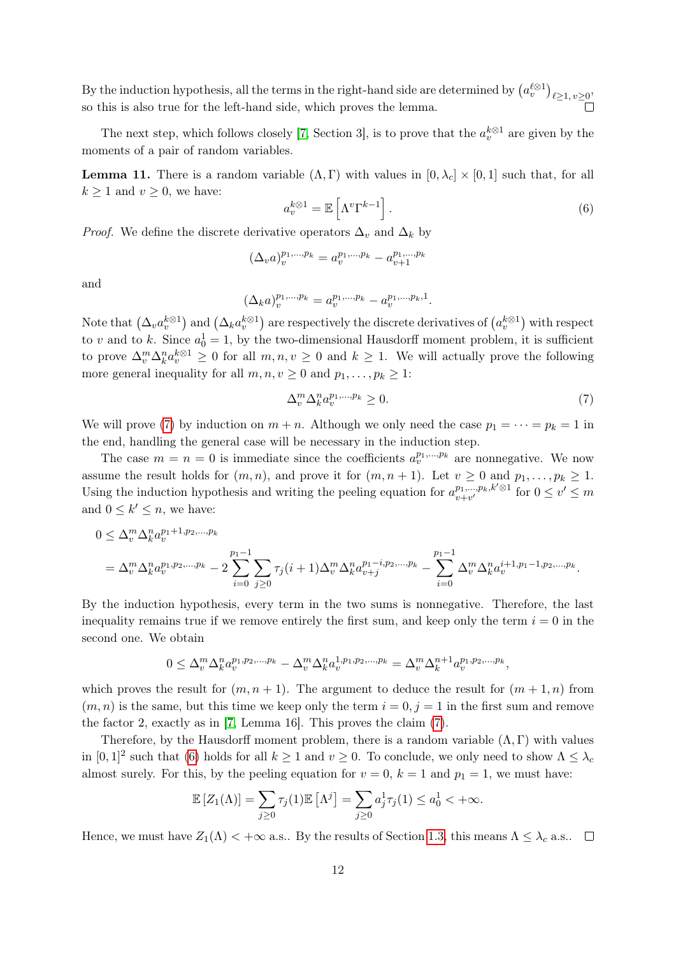By the induction hypothesis, all the terms in the right-hand side are determined by  $(a_v^{\ell\otimes 1})_{\ell\geq 1, v\geq 0}$ so this is also true for the left-hand side, which proves the lemma.

The next step, which follows closely [\[7,](#page-20-5) Section 3], is to prove that the  $a_v^{k\otimes 1}$  are given by the moments of a pair of random variables.

<span id="page-11-2"></span>**Lemma 11.** There is a random variable  $(\Lambda, \Gamma)$  with values in  $[0, \lambda_c] \times [0, 1]$  such that, for all  $k \geq 1$  and  $v \geq 0$ , we have:

<span id="page-11-1"></span>
$$
a_v^{k\otimes 1} = \mathbb{E}\left[\Lambda^v \Gamma^{k-1}\right].\tag{6}
$$

*Proof.* We define the discrete derivative operators  $\Delta_v$  and  $\Delta_k$  by

$$
(\Delta_v a)^{p_1,...,p_k}_v = a^{p_1,...,p_k}_v - a^{p_1,...,p_k}_{v+1}
$$

and

$$
(\Delta_k a)^{p_1, \ldots, p_k}_{v} = a^{p_1, \ldots, p_k}_{v} - a^{p_1, \ldots, p_k, 1}_{v}.
$$

Note that  $(\Delta_v a_v^{k\otimes 1})$  and  $(\Delta_k a_v^{k\otimes 1})$  are respectively the discrete derivatives of  $(a_v^{k\otimes 1})$  with respect to v and to k. Since  $a_0^1 = 1$ , by the two-dimensional Hausdorff moment problem, it is sufficient to prove  $\Delta_v^m \Delta_k^n a_v^{k \otimes 1} \geq 0$  for all  $m, n, v \geq 0$  and  $k \geq 1$ . We will actually prove the following more general inequality for all  $m, n, v \geq 0$  and  $p_1, \ldots, p_k \geq 1$ :

<span id="page-11-0"></span>
$$
\Delta_v^m \Delta_k^n a_v^{p_1, \dots, p_k} \ge 0. \tag{7}
$$

We will prove [\(7\)](#page-11-0) by induction on  $m + n$ . Although we only need the case  $p_1 = \cdots = p_k = 1$  in the end, handling the general case will be necessary in the induction step.

The case  $m = n = 0$  is immediate since the coefficients  $a_v^{p_1,...,p_k}$  are nonnegative. We now assume the result holds for  $(m, n)$ , and prove it for  $(m, n + 1)$ . Let  $v \ge 0$  and  $p_1, \ldots, p_k \ge 1$ . Using the induction hypothesis and writing the peeling equation for  $a_{v+v'}^{p_1,\dots,p_k,k'\otimes 1}$  for  $0 \le v' \le m$ and  $0 \leq k' \leq n$ , we have:

$$
0 \leq \Delta_v^m \Delta_k^n a_v^{p_1+1, p_2, \dots, p_k} = \Delta_v^m \Delta_k^n a_v^{p_1, p_2, \dots, p_k} - 2 \sum_{i=0}^{p_1-1} \sum_{j \geq 0} \tau_j(i+1) \Delta_v^m \Delta_k^n a_{v+j}^{p_1-i, p_2, \dots, p_k} - \sum_{i=0}^{p_1-1} \Delta_v^m \Delta_k^n a_v^{i+1, p_1-1, p_2, \dots, p_k}.
$$

By the induction hypothesis, every term in the two sums is nonnegative. Therefore, the last inequality remains true if we remove entirely the first sum, and keep only the term  $i = 0$  in the second one. We obtain

$$
0 \leq \Delta_v^m \Delta_k^n a_v^{p_1, p_2, \dots, p_k} - \Delta_v^m \Delta_k^n a_v^{1, p_1, p_2, \dots, p_k} = \Delta_v^m \Delta_k^{n+1} a_v^{p_1, p_2, \dots, p_k},
$$

which proves the result for  $(m, n + 1)$ . The argument to deduce the result for  $(m + 1, n)$  from  $(m, n)$  is the same, but this time we keep only the term  $i = 0, j = 1$  in the first sum and remove the factor 2, exactly as in [\[7,](#page-20-5) Lemma 16]. This proves the claim [\(7\)](#page-11-0).

Therefore, by the Hausdorff moment problem, there is a random variable  $(\Lambda, \Gamma)$  with values in  $[0,1]^2$  such that [\(6\)](#page-11-1) holds for all  $k \ge 1$  and  $v \ge 0$ . To conclude, we only need to show  $\Lambda \le \lambda_c$ almost surely. For this, by the peeling equation for  $v = 0$ ,  $k = 1$  and  $p_1 = 1$ , we must have:

$$
\mathbb{E}\left[Z_1(\Lambda)\right] = \sum_{j\geq 0} \tau_j(1)\mathbb{E}\left[\Lambda^j\right] = \sum_{j\geq 0} a_j^1 \tau_j(1) \leq a_0^1 < +\infty.
$$

Hence, we must have  $Z_1(\Lambda) < +\infty$  a.s.. By the results of Section [1.3,](#page-8-0) this means  $\Lambda \leq \lambda_c$  a.s..  $\square$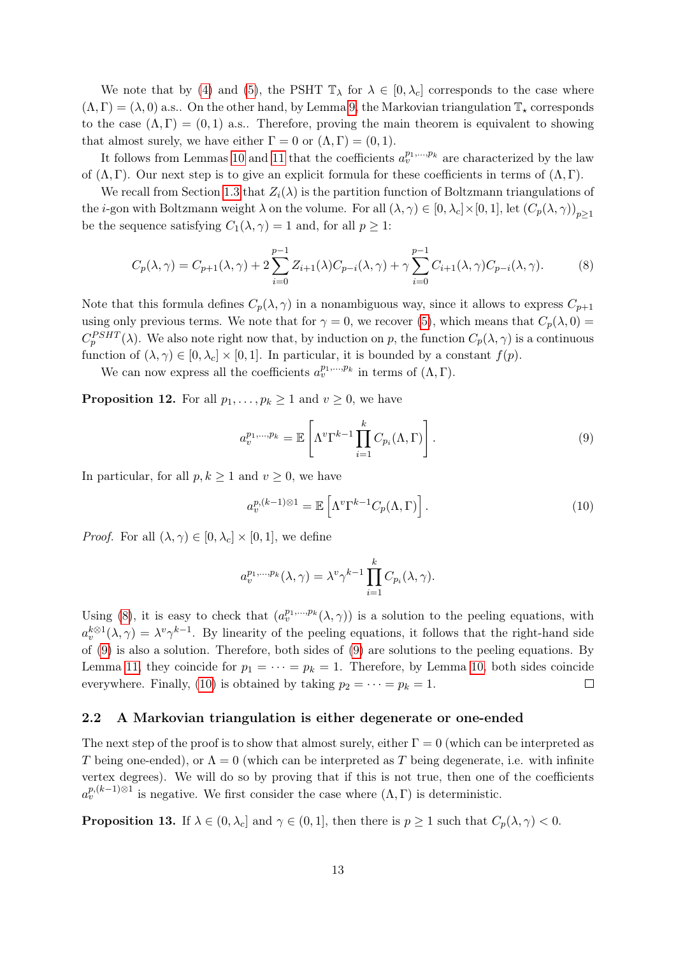We note that by [\(4\)](#page-8-2) and [\(5\)](#page-9-1), the PSHT  $\mathbb{T}_{\lambda}$  for  $\lambda \in [0, \lambda_c]$  corresponds to the case where  $(\Lambda, \Gamma) = (\lambda, 0)$  a.s.. On the other hand, by Lemma [9,](#page-9-2) the Markovian triangulation  $\mathbb{T}_*$  corresponds to the case  $(\Lambda, \Gamma) = (0, 1)$  a.s.. Therefore, proving the main theorem is equivalent to showing that almost surely, we have either  $\Gamma = 0$  or  $(\Lambda, \Gamma) = (0, 1)$ .

It follows from Lemmas [10](#page-10-2) and [11](#page-11-2) that the coefficients  $a_v^{p_1,...,p_k}$  are characterized by the law of  $(\Lambda, \Gamma)$ . Our next step is to give an explicit formula for these coefficients in terms of  $(\Lambda, \Gamma)$ .

We recall from Section [1.3](#page-8-0) that  $Z_i(\lambda)$  is the partition function of Boltzmann triangulations of the *i*-gon with Boltzmann weight  $\lambda$  on the volume. For all  $(\lambda, \gamma) \in [0, \lambda_c] \times [0, 1]$ , let  $(C_p(\lambda, \gamma))_{p \ge 1}$ be the sequence satisfying  $C_1(\lambda, \gamma) = 1$  and, for all  $p \geq 1$ :

<span id="page-12-2"></span>
$$
C_p(\lambda, \gamma) = C_{p+1}(\lambda, \gamma) + 2 \sum_{i=0}^{p-1} Z_{i+1}(\lambda) C_{p-i}(\lambda, \gamma) + \gamma \sum_{i=0}^{p-1} C_{i+1}(\lambda, \gamma) C_{p-i}(\lambda, \gamma).
$$
 (8)

Note that this formula defines  $C_p(\lambda, \gamma)$  in a nonambiguous way, since it allows to express  $C_{p+1}$ using only previous terms. We note that for  $\gamma = 0$ , we recover [\(5\)](#page-9-1), which means that  $C_p(\lambda, 0) =$  $C_p^{PSHT}(\lambda)$ . We also note right now that, by induction on p, the function  $C_p(\lambda, \gamma)$  is a continuous function of  $(\lambda, \gamma) \in [0, \lambda_c] \times [0, 1]$ . In particular, it is bounded by a constant  $f(p)$ .

We can now express all the coefficients  $a_v^{p_1,...,p_k}$  in terms of  $(\Lambda, \Gamma)$ .

<span id="page-12-1"></span>**Proposition 12.** For all  $p_1, \ldots, p_k \ge 1$  and  $v \ge 0$ , we have

<span id="page-12-3"></span>
$$
a_v^{p_1,\dots,p_k} = \mathbb{E}\left[\Lambda^v \Gamma^{k-1} \prod_{i=1}^k C_{p_i}(\Lambda, \Gamma)\right].
$$
\n(9)

In particular, for all  $p, k \geq 1$  and  $v \geq 0$ , we have

<span id="page-12-4"></span>
$$
a_v^{p,(k-1)\otimes 1} = \mathbb{E}\left[\Lambda^v \Gamma^{k-1} C_p(\Lambda, \Gamma)\right].
$$
 (10)

*Proof.* For all  $(\lambda, \gamma) \in [0, \lambda_c] \times [0, 1]$ , we define

$$
a_v^{p_1,\ldots,p_k}(\lambda,\gamma)=\lambda^v\gamma^{k-1}\prod_{i=1}^k C_{p_i}(\lambda,\gamma).
$$

Using [\(8\)](#page-12-2), it is easy to check that  $(a_v^{p_1,...,p_k}(\lambda,\gamma))$  is a solution to the peeling equations, with  $a_v^{k\otimes 1}(\lambda,\gamma) = \lambda^v \gamma^{k-1}$ . By linearity of the peeling equations, it follows that the right-hand side of [\(9\)](#page-12-3) is also a solution. Therefore, both sides of [\(9\)](#page-12-3) are solutions to the peeling equations. By Lemma [11,](#page-11-2) they coincide for  $p_1 = \cdots = p_k = 1$ . Therefore, by Lemma [10,](#page-10-2) both sides coincide everywhere. Finally, [\(10\)](#page-12-4) is obtained by taking  $p_2 = \cdots = p_k = 1$ .  $\Box$ 

#### <span id="page-12-0"></span>2.2 A Markovian triangulation is either degenerate or one-ended

The next step of the proof is to show that almost surely, either  $\Gamma = 0$  (which can be interpreted as T being one-ended), or  $\Lambda = 0$  (which can be interpreted as T being degenerate, i.e. with infinite vertex degrees). We will do so by proving that if this is not true, then one of the coefficients  $a_v^{p,(k-1)\otimes 1}$  is negative. We first consider the case where  $(\Lambda, \Gamma)$  is deterministic.

<span id="page-12-5"></span>**Proposition 13.** If  $\lambda \in (0, \lambda_c]$  and  $\gamma \in (0, 1]$ , then there is  $p \ge 1$  such that  $C_p(\lambda, \gamma) < 0$ .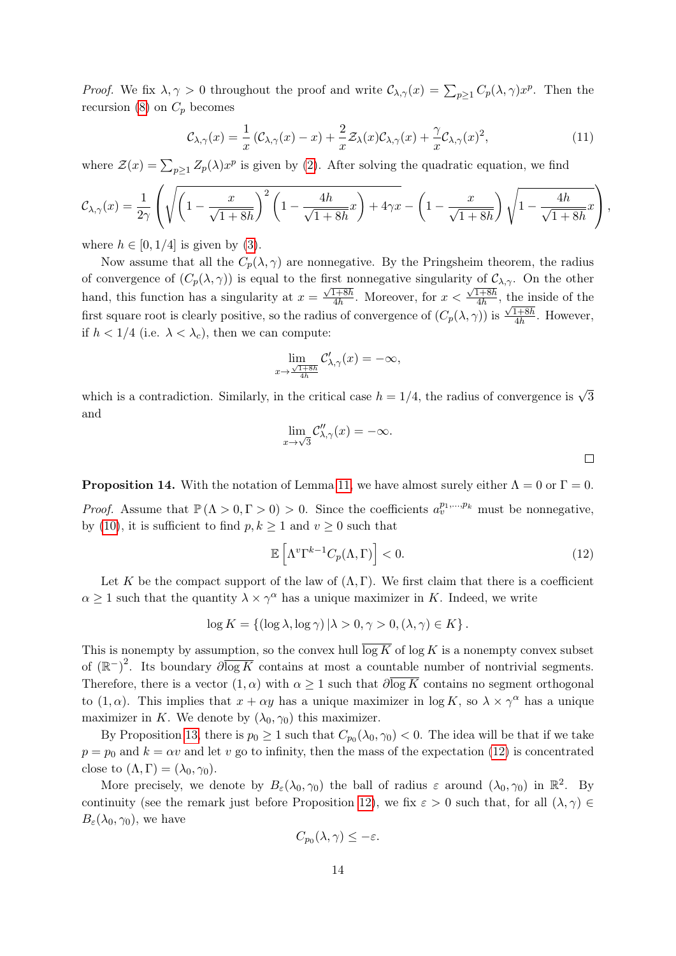*Proof.* We fix  $\lambda, \gamma > 0$  throughout the proof and write  $C_{\lambda,\gamma}(x) = \sum_{p\geq 1} C_p(\lambda, \gamma) x^p$ . Then the recursion [\(8\)](#page-12-2) on  $C_p$  becomes

<span id="page-13-2"></span>
$$
\mathcal{C}_{\lambda,\gamma}(x) = \frac{1}{x} \left( \mathcal{C}_{\lambda,\gamma}(x) - x \right) + \frac{2}{x} \mathcal{Z}_{\lambda}(x) \mathcal{C}_{\lambda,\gamma}(x) + \frac{\gamma}{x} \mathcal{C}_{\lambda,\gamma}(x)^2, \tag{11}
$$

where  $\mathcal{Z}(x) = \sum_{p \geq 1} Z_p(\lambda) x^p$  is given by [\(2\)](#page-8-3). After solving the quadratic equation, we find

$$
\mathcal{C}_{\lambda,\gamma}(x) = \frac{1}{2\gamma} \left( \sqrt{\left(1 - \frac{x}{\sqrt{1+8h}}\right)^2 \left(1 - \frac{4h}{\sqrt{1+8h}}x\right) + 4\gamma x} - \left(1 - \frac{x}{\sqrt{1+8h}}\right)\sqrt{1 - \frac{4h}{\sqrt{1+8h}}x} \right),
$$

where  $h \in [0, 1/4]$  is given by [\(3\)](#page-8-1).

Now assume that all the  $C_p(\lambda, \gamma)$  are nonnegative. By the Pringsheim theorem, the radius of convergence of  $(C_p(\lambda, \gamma))$  is equal to the first nonnegative singularity of  $C_{\lambda,\gamma}$ . On the other hand, this function has a singularity at  $x =$  $\frac{1156 \text{ H}}{\sqrt{1+8h}}$  $\frac{1+8h}{4h}$ . Moreover, for  $x <$  $\sqrt{1+8h}$  $\frac{1+8h}{4h}$ , the inside of the first square root is clearly positive, so the radius of convergence of  $(C_p(\lambda, \gamma))$  is  $\frac{\sqrt{1+8h}}{4h}$  $\frac{1+8h}{4h}$ . However, if  $h < 1/4$  (i.e.  $\lambda < \lambda_c$ ), then we can compute:

$$
\lim_{x \to \frac{\sqrt{1+8h}}{4h}} \mathcal{C}'_{\lambda,\gamma}(x) = -\infty,
$$

which is a contradiction. Similarly, in the critical case  $h = 1/4$ , the radius of convergence is  $\sqrt{3}$ and

$$
\lim_{x \to \sqrt{3}} \mathcal{C}_{\lambda,\gamma}''(x) = -\infty.
$$

<span id="page-13-1"></span>**Proposition 14.** With the notation of Lemma [11,](#page-11-2) we have almost surely either  $\Lambda = 0$  or  $\Gamma = 0$ .

*Proof.* Assume that  $\mathbb{P}(\Lambda > 0, \Gamma > 0) > 0$ . Since the coefficients  $a_v^{p_1,...,p_k}$  must be nonnegative, by [\(10\)](#page-12-4), it is sufficient to find  $p, k \ge 1$  and  $v \ge 0$  such that

<span id="page-13-0"></span>
$$
\mathbb{E}\left[\Lambda^v\Gamma^{k-1}C_p(\Lambda,\Gamma)\right] < 0.\tag{12}
$$

Let K be the compact support of the law of  $(\Lambda, \Gamma)$ . We first claim that there is a coefficient  $\alpha \geq 1$  such that the quantity  $\lambda \times \gamma^{\alpha}$  has a unique maximizer in K. Indeed, we write

$$
\log K = \{ (\log \lambda, \log \gamma) | \lambda > 0, \gamma > 0, (\lambda, \gamma) \in K \}.
$$

This is nonempty by assumption, so the convex hull  $\overline{\log K}$  of  $\log K$  is a nonempty convex subset of  $(\mathbb{R}^-)^2$ . Its boundary  $\partial \overline{\log K}$  contains at most a countable number of nontrivial segments. Therefore, there is a vector  $(1, \alpha)$  with  $\alpha \geq 1$  such that  $\partial \overline{\log K}$  contains no segment orthogonal to  $(1, \alpha)$ . This implies that  $x + \alpha y$  has a unique maximizer in  $\log K$ , so  $\lambda \times \gamma^{\alpha}$  has a unique maximizer in K. We denote by  $(\lambda_0, \gamma_0)$  this maximizer.

By Proposition [13,](#page-12-5) there is  $p_0 \geq 1$  such that  $C_{p_0}(\lambda_0, \gamma_0) < 0$ . The idea will be that if we take  $p = p_0$  and  $k = \alpha v$  and let v go to infinity, then the mass of the expectation [\(12\)](#page-13-0) is concentrated close to  $(\Lambda, \Gamma) = (\lambda_0, \gamma_0)$ .

More precisely, we denote by  $B_\varepsilon(\lambda_0, \gamma_0)$  the ball of radius  $\varepsilon$  around  $(\lambda_0, \gamma_0)$  in  $\mathbb{R}^2$ . By continuity (see the remark just before Proposition [12\)](#page-12-1), we fix  $\varepsilon > 0$  such that, for all  $(\lambda, \gamma) \in$  $B_\varepsilon(\lambda_0, \gamma_0)$ , we have

$$
C_{p_0}(\lambda, \gamma) \leq -\varepsilon.
$$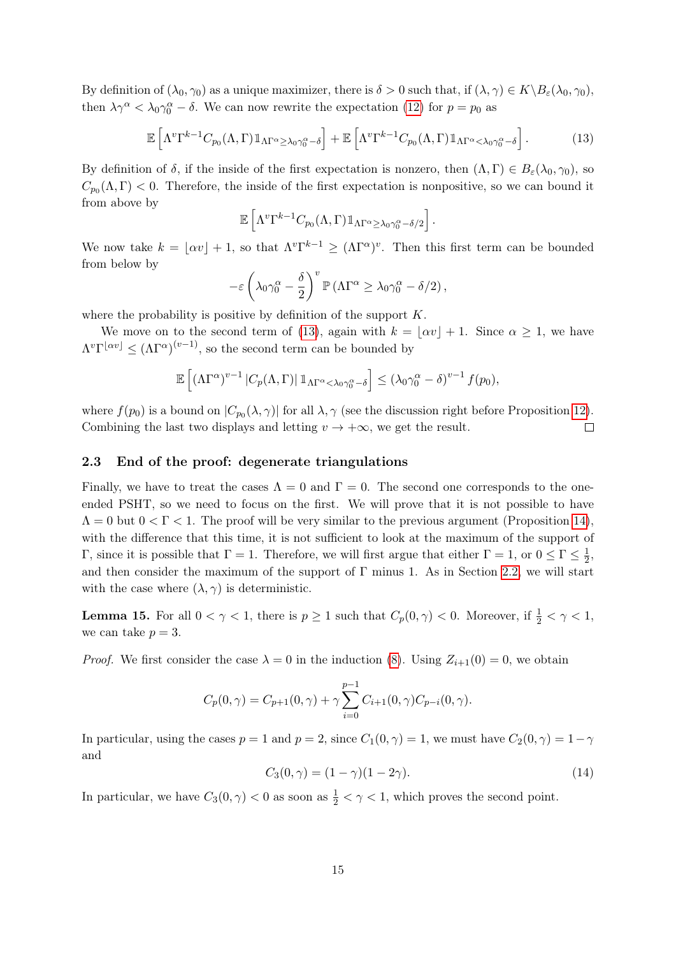By definition of  $(\lambda_0, \gamma_0)$  as a unique maximizer, there is  $\delta > 0$  such that, if  $(\lambda, \gamma) \in K \backslash B_{\varepsilon}(\lambda_0, \gamma_0)$ , then  $\lambda \gamma^{\alpha} < \lambda_0 \gamma_0^{\alpha} - \delta$ . We can now rewrite the expectation [\(12\)](#page-13-0) for  $p = p_0$  as

<span id="page-14-1"></span>
$$
\mathbb{E}\left[\Lambda^v\Gamma^{k-1}C_{p_0}(\Lambda,\Gamma)\mathbb{1}_{\Lambda\Gamma^{\alpha}\geq\lambda_0\gamma_0^{\alpha}-\delta}\right]+\mathbb{E}\left[\Lambda^v\Gamma^{k-1}C_{p_0}(\Lambda,\Gamma)\mathbb{1}_{\Lambda\Gamma^{\alpha}<\lambda_0\gamma_0^{\alpha}-\delta}\right].
$$
\n(13)

By definition of  $\delta$ , if the inside of the first expectation is nonzero, then  $(\Lambda, \Gamma) \in B_{\varepsilon}(\lambda_0, \gamma_0)$ , so  $C_{p_0}(\Lambda, \Gamma) < 0$ . Therefore, the inside of the first expectation is nonpositive, so we can bound it from above by

$$
\mathbb{E}\left[\Lambda^v\Gamma^{k-1}C_{p_0}(\Lambda,\Gamma)\mathbb{1}_{\Lambda\Gamma^{\alpha}\geq\lambda_0\gamma_0^{\alpha}-\delta/2}\right].
$$

We now take  $k = \lfloor \alpha v \rfloor + 1$ , so that  $\Lambda^v \Gamma^{k-1} \geq (\Lambda \Gamma^{\alpha})^v$ . Then this first term can be bounded from below by

$$
-\varepsilon \left(\lambda_0\gamma_0^{\alpha} - \frac{\delta}{2}\right)^v \mathbb{P}\left(\Lambda\Gamma^{\alpha} \ge \lambda_0\gamma_0^{\alpha} - \delta/2\right),\,
$$

where the probability is positive by definition of the support  $K$ .

We move on to the second term of [\(13\)](#page-14-1), again with  $k = |\alpha v| + 1$ . Since  $\alpha \ge 1$ , we have  $\Lambda^v\Gamma^{\lfloor \alpha v \rfloor} \leq (\Lambda\Gamma^\alpha)^{(v-1)}$ , so the second term can be bounded by

$$
\mathbb{E}\left[\left(\Lambda\Gamma^{\alpha}\right)^{v-1}|C_p(\Lambda,\Gamma)|\mathbb{1}_{\Lambda\Gamma^{\alpha}<\lambda_0\gamma_0^{\alpha}-\delta}\right] \leq \left(\lambda_0\gamma_0^{\alpha}-\delta\right)^{v-1}f(p_0),
$$

where  $f(p_0)$  is a bound on  $|C_{p_0}(\lambda, \gamma)|$  for all  $\lambda, \gamma$  (see the discussion right before Proposition [12\)](#page-12-1). Combining the last two displays and letting  $v \to +\infty$ , we get the result.  $\Box$ 

#### <span id="page-14-0"></span>2.3 End of the proof: degenerate triangulations

Finally, we have to treat the cases  $\Lambda = 0$  and  $\Gamma = 0$ . The second one corresponds to the oneended PSHT, so we need to focus on the first. We will prove that it is not possible to have  $\Lambda = 0$  but  $0 < \Gamma < 1$ . The proof will be very similar to the previous argument (Proposition [14\)](#page-13-1), with the difference that this time, it is not sufficient to look at the maximum of the support of Γ, since it is possible that  $\Gamma = 1$ . Therefore, we will first argue that either  $\Gamma = 1$ , or  $0 \leq \Gamma \leq \frac{1}{2}$  $\frac{1}{2}$ , and then consider the maximum of the support of  $\Gamma$  minus 1. As in Section [2.2,](#page-12-0) we will start with the case where  $(\lambda, \gamma)$  is deterministic.

<span id="page-14-3"></span>**Lemma 15.** For all  $0 < \gamma < 1$ , there is  $p \ge 1$  such that  $C_p(0, \gamma) < 0$ . Moreover, if  $\frac{1}{2} < \gamma < 1$ , we can take  $p = 3$ .

*Proof.* We first consider the case  $\lambda = 0$  in the induction [\(8\)](#page-12-2). Using  $Z_{i+1}(0) = 0$ , we obtain

$$
C_p(0,\gamma) = C_{p+1}(0,\gamma) + \gamma \sum_{i=0}^{p-1} C_{i+1}(0,\gamma) C_{p-i}(0,\gamma).
$$

In particular, using the cases  $p = 1$  and  $p = 2$ , since  $C_1(0, \gamma) = 1$ , we must have  $C_2(0, \gamma) = 1 - \gamma$ and

<span id="page-14-2"></span>
$$
C_3(0, \gamma) = (1 - \gamma)(1 - 2\gamma). \tag{14}
$$

In particular, we have  $C_3(0, \gamma) < 0$  as soon as  $\frac{1}{2} < \gamma < 1$ , which proves the second point.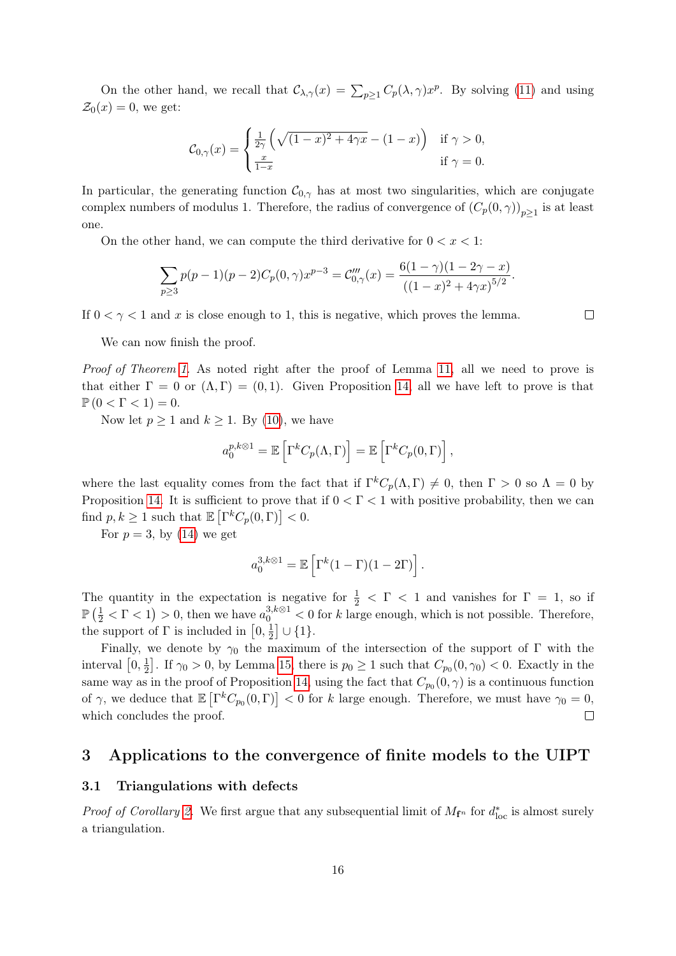On the other hand, we recall that  $\mathcal{C}_{\lambda,\gamma}(x) = \sum_{p\geq 1} C_p(\lambda,\gamma)x^p$ . By solving [\(11\)](#page-13-2) and using  $\mathcal{Z}_0(x) = 0$ , we get:

$$
\mathcal{C}_{0,\gamma}(x) = \begin{cases} \frac{1}{2\gamma} \left( \sqrt{(1-x)^2 + 4\gamma x} - (1-x) \right) & \text{if } \gamma > 0, \\ \frac{x}{1-x} & \text{if } \gamma = 0. \end{cases}
$$

In particular, the generating function  $C_{0,\gamma}$  has at most two singularities, which are conjugate complex numbers of modulus 1. Therefore, the radius of convergence of  $(C_p(0, \gamma))_{p \geq 1}$  is at least one.

On the other hand, we can compute the third derivative for  $0 < x < 1$ :

$$
\sum_{p\geq 3} p(p-1)(p-2)C_p(0,\gamma)x^{p-3} = C_{0,\gamma}'''(x) = \frac{6(1-\gamma)(1-2\gamma-x)}{((1-x)^2+4\gamma x)^{5/2}}.
$$

If  $0 < \gamma < 1$  and x is close enough to 1, this is negative, which proves the lemma.

 $\Box$ 

We can now finish the proof.

Proof of Theorem [1.](#page-2-1) As noted right after the proof of Lemma [11,](#page-11-2) all we need to prove is that either  $\Gamma = 0$  or  $(\Lambda, \Gamma) = (0, 1)$ . Given Proposition [14,](#page-13-1) all we have left to prove is that  $\mathbb{P}\left(0 < \Gamma < 1\right) = 0.$ 

Now let  $p \ge 1$  and  $k \ge 1$ . By [\(10\)](#page-12-4), we have

$$
a_0^{p,k\otimes 1}=\mathbb{E}\left[\Gamma^k C_p(\Lambda,\Gamma)\right]=\mathbb{E}\left[\Gamma^k C_p(0,\Gamma)\right],
$$

where the last equality comes from the fact that if  $\Gamma^k C_p(\Lambda, \Gamma) \neq 0$ , then  $\Gamma > 0$  so  $\Lambda = 0$  by Proposition [14.](#page-13-1) It is sufficient to prove that if  $0 < \Gamma < 1$  with positive probability, then we can find  $p, k \geq 1$  such that  $\mathbb{E} \left[ \Gamma^k C_p(0, \Gamma) \right] < 0$ .

For  $p = 3$ , by [\(14\)](#page-14-2) we get

$$
a_0^{3,k\otimes 1} = \mathbb{E}\left[\Gamma^k(1-\Gamma)(1-2\Gamma)\right].
$$

The quantity in the expectation is negative for  $\frac{1}{2} < \Gamma < 1$  and vanishes for  $\Gamma = 1$ , so if  $\mathbb{P}\left(\frac{1}{2} < \Gamma < 1\right) > 0$ , then we have  $a_0^{3,k\otimes 1} < 0$  for k large enough, which is not possible. Therefore, the support of  $\Gamma$  is included in  $[0, \frac{1}{2}]$  $\frac{1}{2}$   $\cup$  {1}.

Finally, we denote by  $\gamma_0$  the maximum of the intersection of the support of  $\Gamma$  with the interval  $[0, \frac{1}{2}]$  $\frac{1}{2}$ . If  $\gamma_0 > 0$ , by Lemma [15,](#page-14-3) there is  $p_0 \ge 1$  such that  $C_{p_0}(0, \gamma_0) < 0$ . Exactly in the same way as in the proof of Proposition [14,](#page-13-1) using the fact that  $C_{p_0}(0, \gamma)$  is a continuous function of  $\gamma$ , we deduce that  $\mathbb{E}\left[\Gamma^k C_{p_0}(0,\Gamma)\right] < 0$  for k large enough. Therefore, we must have  $\gamma_0 = 0$ , which concludes the proof.  $\Box$ 

### <span id="page-15-0"></span>3 Applications to the convergence of finite models to the UIPT

#### <span id="page-15-1"></span>3.1 Triangulations with defects

*Proof of Corollary [2.](#page-3-0)* We first argue that any subsequential limit of  $M_{f^n}$  for  $d_{loc}^*$  is almost surely a triangulation.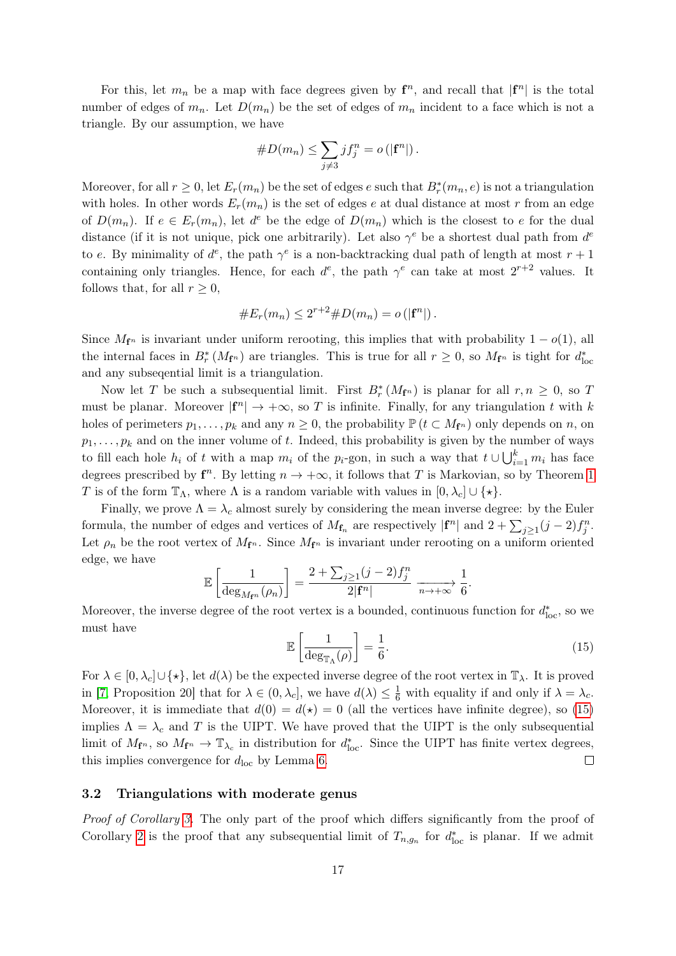For this, let  $m_n$  be a map with face degrees given by  $f^n$ , and recall that  $|f^n|$  is the total number of edges of  $m_n$ . Let  $D(m_n)$  be the set of edges of  $m_n$  incident to a face which is not a triangle. By our assumption, we have

#D(mn) ≤ X j6=3 jf<sup>n</sup> <sup>j</sup> = o (|f n |).

Moreover, for all  $r \geq 0$ , let  $E_r(m_n)$  be the set of edges e such that  $B_r^*(m_n, e)$  is not a triangulation with holes. In other words  $E_r(m_n)$  is the set of edges e at dual distance at most r from an edge of  $D(m_n)$ . If  $e \in E_r(m_n)$ , let  $d^e$  be the edge of  $D(m_n)$  which is the closest to e for the dual distance (if it is not unique, pick one arbitrarily). Let also  $\gamma^e$  be a shortest dual path from  $d^e$ to e. By minimality of  $d^e$ , the path  $\gamma^e$  is a non-backtracking dual path of length at most  $r+1$ containing only triangles. Hence, for each  $d^e$ , the path  $\gamma^e$  can take at most  $2^{r+2}$  values. It follows that, for all  $r \geq 0$ ,

#Er(mn) ≤ 2 <sup>r</sup>+2#D(mn) = o (|f n |).

Since  $M_{f^n}$  is invariant under uniform rerooting, this implies that with probability  $1 - o(1)$ , all the internal faces in  $B_r^*(M_{f^n})$  are triangles. This is true for all  $r \geq 0$ , so  $M_{f^n}$  is tight for  $d_{\text{loc}}^*$ and any subseqential limit is a triangulation.

Now let T be such a subsequential limit. First  $B_r^*(M_{f^n})$  is planar for all  $r, n \geq 0$ , so T must be planar. Moreover  $|{\bf f}^n|\to+\infty$ , so T is infinite. Finally, for any triangulation t with k holes of perimeters  $p_1, \ldots, p_k$  and any  $n \geq 0$ , the probability  $\mathbb{P} (t \subset M_{f^n})$  only depends on n, on  $p_1, \ldots, p_k$  and on the inner volume of t. Indeed, this probability is given by the number of ways to fill each hole  $h_i$  of t with a map  $m_i$  of the  $p_i$ -gon, in such a way that  $t \cup \bigcup_{i=1}^k m_i$  has face degrees prescribed by  $f^n$ . By letting  $n \to +\infty$ , it follows that T is Markovian, so by Theorem [1](#page-2-1) T is of the form  $\mathbb{T}_{\Lambda}$ , where  $\Lambda$  is a random variable with values in  $[0, \lambda_c] \cup \{\star\}.$ 

Finally, we prove  $\Lambda = \lambda_c$  almost surely by considering the mean inverse degree: by the Euler formula, the number of edges and vertices of  $M_{\mathbf{f}_n}$  are respectively  $|\mathbf{f}^n|$  and  $2 + \sum_{j\geq 1} (j-2)f_j^n$ . Let  $\rho_n$  be the root vertex of  $M_{\mathbf{f}^n}$ . Since  $M_{\mathbf{f}^n}$  is invariant under rerooting on a uniform oriented edge, we have

$$
\mathbb{E}\left[\frac{1}{\deg_{M_{\mathbf{f}^n}}(\rho_n)}\right] = \frac{2 + \sum_{j\geq 1} (j-2)f_j^n}{2|\mathbf{f}^n|} \xrightarrow[n \to +\infty]{} \frac{1}{6}.
$$

Moreover, the inverse degree of the root vertex is a bounded, continuous function for  $d_{\text{loc}}^*$ , so we must have

<span id="page-16-1"></span>
$$
\mathbb{E}\left[\frac{1}{\deg_{\mathbb{T}_{\Lambda}}(\rho)}\right] = \frac{1}{6}.\tag{15}
$$

For  $\lambda \in [0, \lambda_c] \cup \{\star\}$ , let  $d(\lambda)$  be the expected inverse degree of the root vertex in  $\mathbb{T}_{\lambda}$ . It is proved in [\[7,](#page-20-5) Proposition 20] that for  $\lambda \in (0, \lambda_c]$ , we have  $d(\lambda) \leq \frac{1}{6}$  with equality if and only if  $\lambda = \lambda_c$ . Moreover, it is immediate that  $d(0) = d(\star) = 0$  (all the vertices have infinite degree), so [\(15\)](#page-16-1) implies  $\Lambda = \lambda_c$  and T is the UIPT. We have proved that the UIPT is the only subsequential limit of  $M_{\mathbf{f}^n}$ , so  $M_{\mathbf{f}^n} \to \mathbb{T}_{\lambda_c}$  in distribution for  $d_{\text{loc}}^*$ . Since the UIPT has finite vertex degrees, this implies convergence for  $d_{\text{loc}}$  by Lemma [6.](#page-7-3)  $\Box$ 

#### <span id="page-16-0"></span>3.2 Triangulations with moderate genus

Proof of Corollary [3.](#page-3-1) The only part of the proof which differs significantly from the proof of Corollary [2](#page-3-0) is the proof that any subsequential limit of  $T_{n,g_n}$  for  $d_{\text{loc}}^*$  is planar. If we admit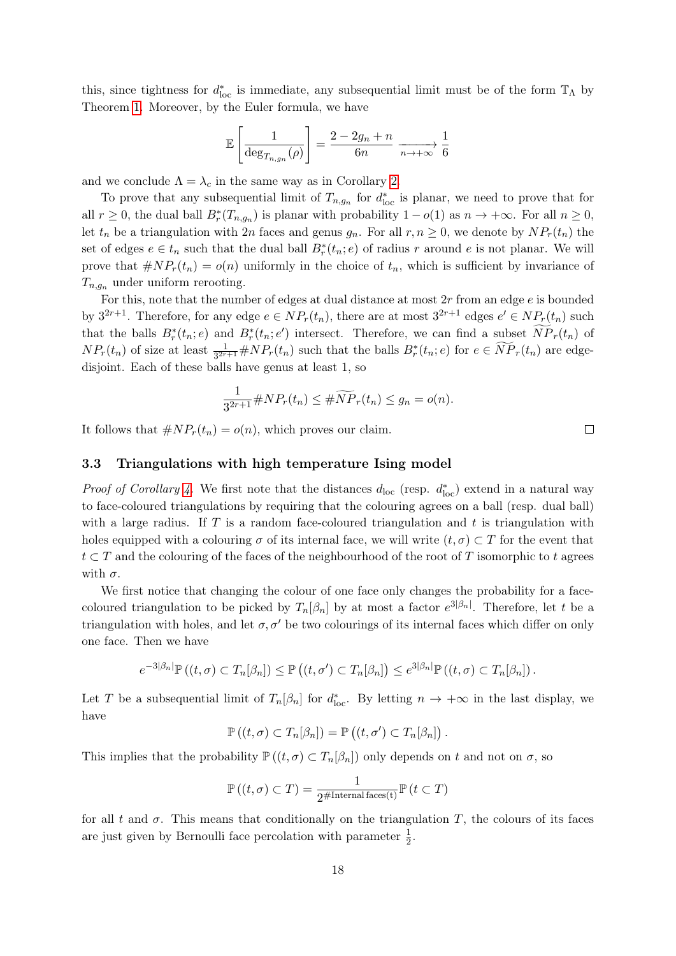this, since tightness for  $d_{\text{loc}}^*$  is immediate, any subsequential limit must be of the form  $\mathbb{T}_\Lambda$  by Theorem [1.](#page-2-1) Moreover, by the Euler formula, we have

$$
\mathbb{E}\left[\frac{1}{\deg_{T_{n,g_n}}(\rho)}\right] = \frac{2 - 2g_n + n}{6n} \xrightarrow[n \to +\infty]{} \frac{1}{6}
$$

and we conclude  $\Lambda = \lambda_c$  in the same way as in Corollary [2.](#page-3-0)

To prove that any subsequential limit of  $T_{n,g_n}$  for  $d_{\text{loc}}^*$  is planar, we need to prove that for all  $r \geq 0$ , the dual ball  $B_r^*(T_{n,g_n})$  is planar with probability  $1-o(1)$  as  $n \to +\infty$ . For all  $n \geq 0$ , let  $t_n$  be a triangulation with 2n faces and genus  $g_n$ . For all  $r, n \geq 0$ , we denote by  $NP_r(t_n)$  the set of edges  $e \in t_n$  such that the dual ball  $B_r^*(t_n; e)$  of radius r around e is not planar. We will prove that  $\#NP_r(t_n) = o(n)$  uniformly in the choice of  $t_n$ , which is sufficient by invariance of  $T_{n,q_n}$  under uniform rerooting.

For this, note that the number of edges at dual distance at most  $2r$  from an edge  $e$  is bounded by  $3^{2r+1}$ . Therefore, for any edge  $e \in NP_r(t_n)$ , there are at most  $3^{2r+1}$  edges  $e' \in NP_r(t_n)$  such that the balls  $B_r^*(t_n; e)$  and  $B_r^*(t_n; e')$  intersect. Therefore, we can find a subset  $\overline{NP}_r(t_n)$  of  $NP_r(t_n)$  of size at least  $\frac{1}{3^{2r+1}} \# NP_r(t_n)$  such that the balls  $B_r^*(t_n; e)$  for  $e \in \widetilde{NP}_r(t_n)$  are edgedisjoint. Each of these balls have genus at least 1, so

$$
\frac{1}{3^{2r+1}} \# NP_r(t_n) \leq \# \widetilde{NP}_r(t_n) \leq g_n = o(n).
$$

It follows that  $\# NP_r(t_n) = o(n)$ , which proves our claim.

#### <span id="page-17-0"></span>3.3 Triangulations with high temperature Ising model

*Proof of Corollary [4.](#page-3-2)* We first note that the distances  $d_{\text{loc}}$  (resp.  $d_{\text{loc}}^*$ ) extend in a natural way to face-coloured triangulations by requiring that the colouring agrees on a ball (resp. dual ball) with a large radius. If  $T$  is a random face-coloured triangulation and  $t$  is triangulation with holes equipped with a colouring  $\sigma$  of its internal face, we will write  $(t, \sigma) \subset T$  for the event that  $t \subset T$  and the colouring of the faces of the neighbourhood of the root of T isomorphic to t agrees with  $\sigma$ .

We first notice that changing the colour of one face only changes the probability for a facecoloured triangulation to be picked by  $T_n[\beta_n]$  by at most a factor  $e^{3|\beta_n|}$ . Therefore, let t be a triangulation with holes, and let  $\sigma$ ,  $\sigma'$  be two colourings of its internal faces which differ on only one face. Then we have

$$
e^{-3|\beta_n|}\mathbb{P}\left((t,\sigma)\subset T_n[\beta_n]\right)\leq \mathbb{P}\left((t,\sigma')\subset T_n[\beta_n]\right)\leq e^{3|\beta_n|}\mathbb{P}\left((t,\sigma)\subset T_n[\beta_n]\right).
$$

Let T be a subsequential limit of  $T_n[\beta_n]$  for  $d_{\text{loc}}^*$ . By letting  $n \to +\infty$  in the last display, we have

$$
\mathbb{P}\left((t,\sigma)\subset T_n[\beta_n]\right)=\mathbb{P}\left((t,\sigma')\subset T_n[\beta_n]\right).
$$

This implies that the probability  $\mathbb{P}((t,\sigma)\subset T_n[\beta_n])$  only depends on t and not on  $\sigma$ , so

$$
\mathbb{P}\left((t,\sigma)\subset T\right)=\frac{1}{2^{\#\text{Internal faces}(t)}}\mathbb{P}\left(t\subset T\right)
$$

for all t and  $\sigma$ . This means that conditionally on the triangulation T, the colours of its faces are just given by Bernoulli face percolation with parameter  $\frac{1}{2}$ .

 $\Box$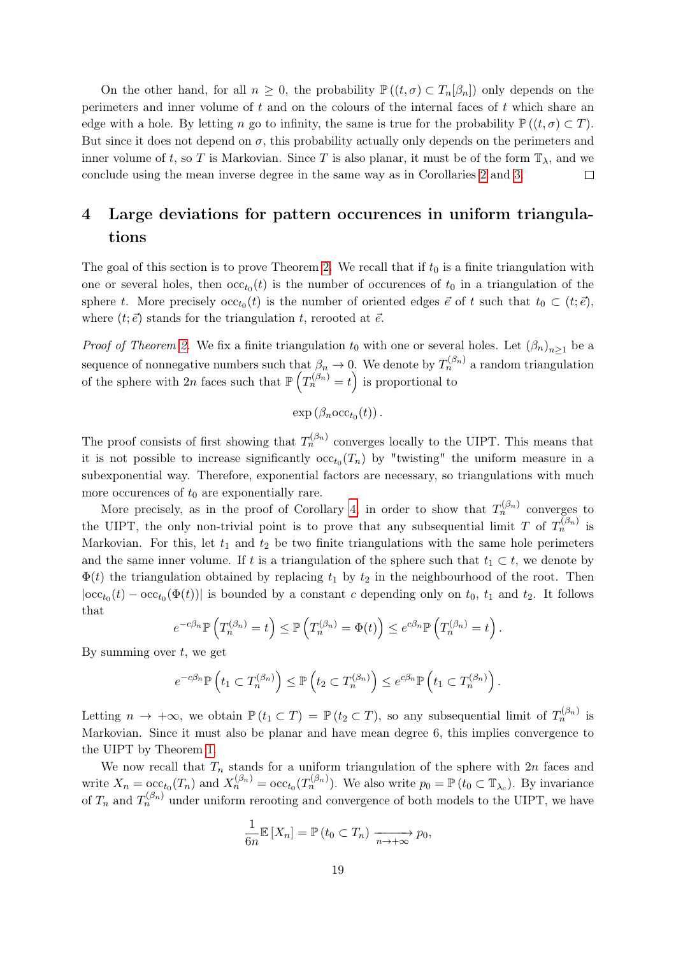On the other hand, for all  $n \geq 0$ , the probability  $\mathbb{P}((t,\sigma) \subset T_n[\beta_n])$  only depends on the perimeters and inner volume of  $t$  and on the colours of the internal faces of  $t$  which share an edge with a hole. By letting n go to infinity, the same is true for the probability  $\mathbb{P}((t,\sigma) \subset T)$ . But since it does not depend on  $\sigma$ , this probability actually only depends on the perimeters and inner volume of t, so T is Markovian. Since T is also planar, it must be of the form  $\mathbb{T}_{\lambda}$ , and we conclude using the mean inverse degree in the same way as in Corollaries [2](#page-3-0) and [3.](#page-3-1)  $\Box$ 

# <span id="page-18-0"></span>4 Large deviations for pattern occurences in uniform triangulations

The goal of this section is to prove Theorem [2.](#page-4-0) We recall that if  $t_0$  is a finite triangulation with one or several holes, then  $\operatorname{occ}_{t_0}(t)$  is the number of occurences of  $t_0$  in a triangulation of the sphere t. More precisely  $\operatorname{occ}_{t_0}(t)$  is the number of oriented edges  $\vec{e}$  of t such that  $t_0 \subset (t; \vec{e})$ , where  $(t; \vec{e})$  stands for the triangulation t, rerooted at  $\vec{e}$ .

*Proof of Theorem [2.](#page-4-0)* We fix a finite triangulation  $t_0$  with one or several holes. Let  $(\beta_n)_{n\geq 1}$  be a sequence of nonnegative numbers such that  $\beta_n \to 0$ . We denote by  $T_n^{(\beta_n)}$  a random triangulation of the sphere with 2n faces such that  $\mathbb{P}\left(T_n^{(\beta_n)}=t\right)$  is proportional to

$$
\exp\left(\beta_n \mathrm{occ}_{t_0}(t)\right).
$$

The proof consists of first showing that  $T_n^{(\beta_n)}$  converges locally to the UIPT. This means that it is not possible to increase significantly  $\operatorname{occ}_{t_0}(T_n)$  by "twisting" the uniform measure in a subexponential way. Therefore, exponential factors are necessary, so triangulations with much more occurences of  $t_0$  are exponentially rare.

More precisely, as in the proof of Corollary [4,](#page-3-2) in order to show that  $T_n^{(\beta_n)}$  converges to the UIPT, the only non-trivial point is to prove that any subsequential limit T of  $T_n^{(\beta_n)}$  is Markovian. For this, let  $t_1$  and  $t_2$  be two finite triangulations with the same hole perimeters and the same inner volume. If t is a triangulation of the sphere such that  $t_1 \subset t$ , we denote by  $\Phi(t)$  the triangulation obtained by replacing  $t_1$  by  $t_2$  in the neighbourhood of the root. Then  $|\text{occ}_{t_0}(t) - \text{occ}_{t_0}(\Phi(t))|$  is bounded by a constant c depending only on  $t_0$ ,  $t_1$  and  $t_2$ . It follows that

$$
e^{-c\beta_n} \mathbb{P}\left(T_n^{(\beta_n)} = t\right) \leq \mathbb{P}\left(T_n^{(\beta_n)} = \Phi(t)\right) \leq e^{c\beta_n} \mathbb{P}\left(T_n^{(\beta_n)} = t\right).
$$

By summing over  $t$ , we get

$$
e^{-c\beta_n} \mathbb{P}\left(t_1 \subset T_n^{(\beta_n)}\right) \leq \mathbb{P}\left(t_2 \subset T_n^{(\beta_n)}\right) \leq e^{c\beta_n} \mathbb{P}\left(t_1 \subset T_n^{(\beta_n)}\right).
$$

Letting  $n \to +\infty$ , we obtain  $\mathbb{P}(t_1 \subset T) = \mathbb{P}(t_2 \subset T)$ , so any subsequential limit of  $T_n^{(\beta_n)}$  is Markovian. Since it must also be planar and have mean degree 6, this implies convergence to the UIPT by Theorem [1.](#page-2-1)

We now recall that  $T_n$  stands for a uniform triangulation of the sphere with  $2n$  faces and write  $X_n = \mathrm{occ}_{t_0}(T_n)$  and  $X_n^{(\beta_n)} = \mathrm{occ}_{t_0}(T_n^{(\beta_n)})$ . We also write  $p_0 = \mathbb{P}(t_0 \subset \mathbb{T}_{\lambda_c})$ . By invariance of  $T_n$  and  $T_n^{(\beta_n)}$  under uniform rerooting and convergence of both models to the UIPT, we have

$$
\frac{1}{6n}\mathbb{E}\left[X_n\right] = \mathbb{P}\left(t_0 \subset T_n\right) \xrightarrow[n \to +\infty]{} p_0,
$$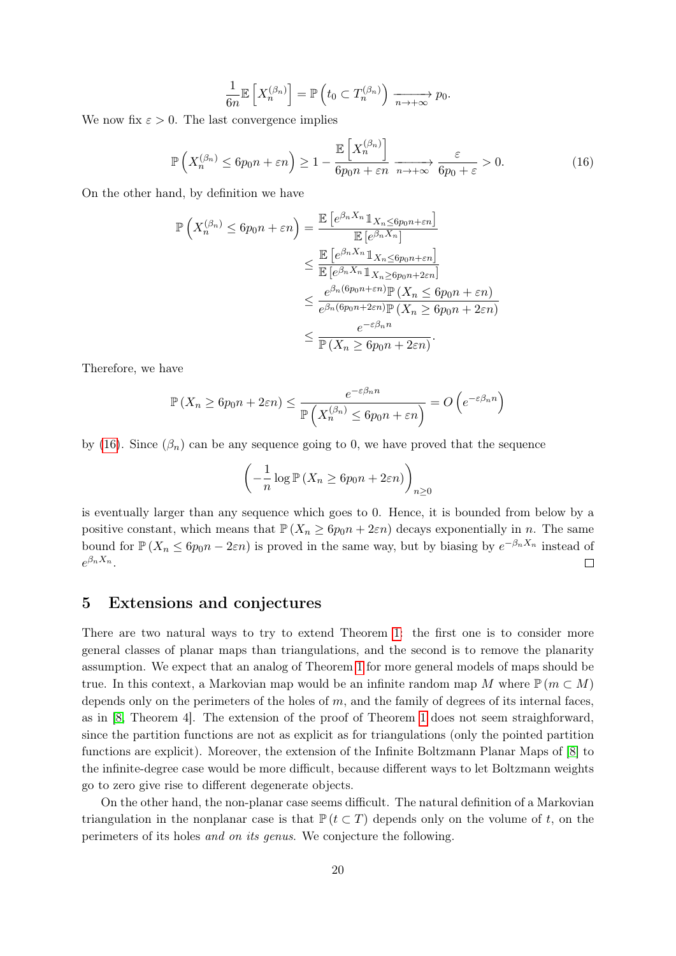$$
\frac{1}{6n} \mathbb{E}\left[X_n^{(\beta_n)}\right] = \mathbb{P}\left(t_0 \subset T_n^{(\beta_n)}\right) \xrightarrow[n \to +\infty]{} p_0.
$$

We now fix  $\varepsilon > 0$ . The last convergence implies

<span id="page-19-1"></span>
$$
\mathbb{P}\left(X_n^{(\beta_n)} \le 6p_0n + \varepsilon n\right) \ge 1 - \frac{\mathbb{E}\left[X_n^{(\beta_n)}\right]}{6p_0n + \varepsilon n} \xrightarrow[n \to +\infty]{} \frac{\varepsilon}{6p_0 + \varepsilon} > 0. \tag{16}
$$

On the other hand, by definition we have

$$
\mathbb{P}\left(X_n^{(\beta_n)} \le 6p_0n + \varepsilon n\right) = \frac{\mathbb{E}\left[e^{\beta_n X_n} \mathbb{1}_{X_n \le 6p_0n + \varepsilon n}\right]}{\mathbb{E}\left[e^{\beta_n X_n}\right]} \\
\le \frac{\mathbb{E}\left[e^{\beta_n X_n} \mathbb{1}_{X_n \le 6p_0n + \varepsilon n}\right]}{\mathbb{E}\left[e^{\beta_n X_n} \mathbb{1}_{X_n \ge 6p_0n + 2\varepsilon n}\right]} \\
\le \frac{e^{\beta_n (6p_0n + \varepsilon n)} \mathbb{P}\left(X_n \le 6p_0n + \varepsilon n\right)}{e^{\beta_n (6p_0n + 2\varepsilon n)} \mathbb{P}\left(X_n \ge 6p_0n + 2\varepsilon n\right)} \\
\le \frac{e^{-\varepsilon \beta_n n}}{\mathbb{P}\left(X_n \ge 6p_0n + 2\varepsilon n\right)}.
$$

Therefore, we have

$$
\mathbb{P}\left(X_n \ge 6p_0n + 2\varepsilon n\right) \le \frac{e^{-\varepsilon\beta_n n}}{\mathbb{P}\left(X_n^{(\beta_n)} \le 6p_0n + \varepsilon n\right)} = O\left(e^{-\varepsilon\beta_n n}\right)
$$

by [\(16\)](#page-19-1). Since  $(\beta_n)$  can be any sequence going to 0, we have proved that the sequence

$$
\left(-\frac{1}{n}\log \mathbb{P}\left(X_n \ge 6p_0n + 2\varepsilon n\right)\right)_{n \ge 0}
$$

is eventually larger than any sequence which goes to 0. Hence, it is bounded from below by a positive constant, which means that  $P(X_n \geq 6p_0n + 2\varepsilon n)$  decays exponentially in n. The same bound for  $\mathbb{P}(X_n \leq 6p_0n - 2\varepsilon n)$  is proved in the same way, but by biasing by  $e^{-\beta_n X_n}$  instead of  $e^{\beta_n X_n}.$  $\Box$ 

# <span id="page-19-0"></span>5 Extensions and conjectures

There are two natural ways to try to extend Theorem [1:](#page-2-1) the first one is to consider more general classes of planar maps than triangulations, and the second is to remove the planarity assumption. We expect that an analog of Theorem [1](#page-2-1) for more general models of maps should be true. In this context, a Markovian map would be an infinite random map M where  $\mathbb{P} (m \subset M)$ depends only on the perimeters of the holes of  $m$ , and the family of degrees of its internal faces, as in [\[8,](#page-20-9) Theorem 4]. The extension of the proof of Theorem [1](#page-2-1) does not seem straighforward, since the partition functions are not as explicit as for triangulations (only the pointed partition functions are explicit). Moreover, the extension of the Infinite Boltzmann Planar Maps of [\[8\]](#page-20-9) to the infinite-degree case would be more difficult, because different ways to let Boltzmann weights go to zero give rise to different degenerate objects.

On the other hand, the non-planar case seems difficult. The natural definition of a Markovian triangulation in the nonplanar case is that  $\mathbb{P} (t \subset T)$  depends only on the volume of t, on the perimeters of its holes and on its genus. We conjecture the following.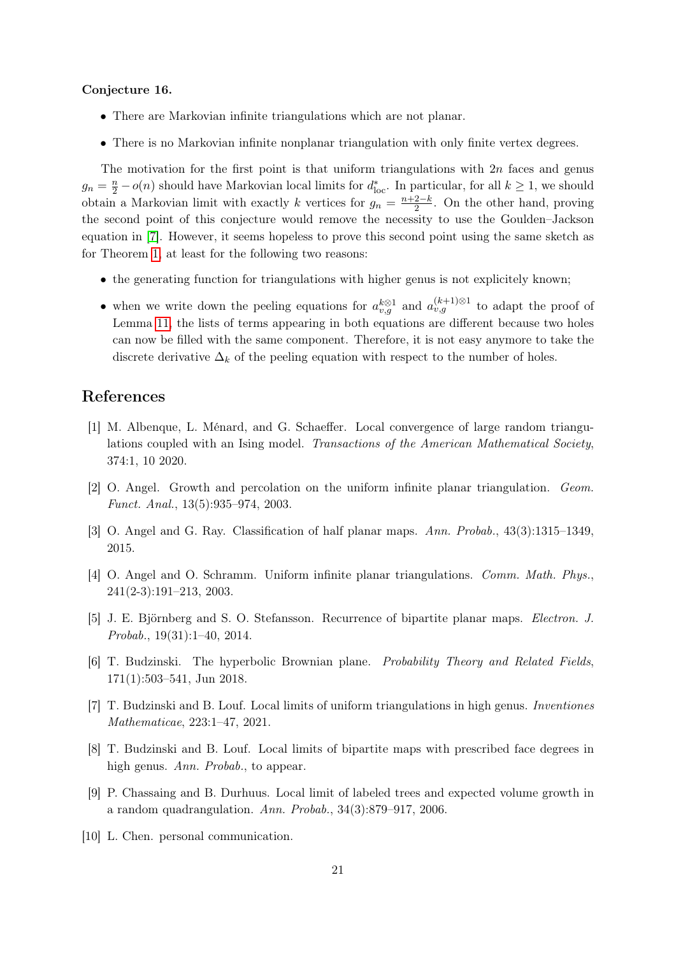#### Conjecture 16.

- There are Markovian infinite triangulations which are not planar.
- There is no Markovian infinite nonplanar triangulation with only finite vertex degrees.

The motivation for the first point is that uniform triangulations with  $2n$  faces and genus  $g_n = \frac{n}{2} - o(n)$  should have Markovian local limits for  $d_{loc}^*$ . In particular, for all  $k \ge 1$ , we should obtain a Markovian limit with exactly k vertices for  $g_n = \frac{n+2-k}{2}$  $\frac{2-k}{2}$ . On the other hand, proving the second point of this conjecture would remove the necessity to use the Goulden–Jackson equation in [\[7\]](#page-20-5). However, it seems hopeless to prove this second point using the same sketch as for Theorem [1,](#page-2-1) at least for the following two reasons:

- the generating function for triangulations with higher genus is not explicitely known;
- when we write down the peeling equations for  $a_{v,g}^{k\otimes 1}$  and  $a_{v,g}^{(k+1)\otimes 1}$  to adapt the proof of Lemma [11,](#page-11-2) the lists of terms appearing in both equations are different because two holes can now be filled with the same component. Therefore, it is not easy anymore to take the discrete derivative  $\Delta_k$  of the peeling equation with respect to the number of holes.

# References

- <span id="page-20-8"></span>[1] M. Albenque, L. Ménard, and G. Schaeffer. Local convergence of large random triangulations coupled with an Ising model. Transactions of the American Mathematical Society, 374:1, 10 2020.
- <span id="page-20-3"></span>[2] O. Angel. Growth and percolation on the uniform infinite planar triangulation. Geom. Funct. Anal., 13(5):935–974, 2003.
- <span id="page-20-4"></span>[3] O. Angel and G. Ray. Classification of half planar maps. Ann. Probab., 43(3):1315–1349, 2015.
- <span id="page-20-0"></span>[4] O. Angel and O. Schramm. Uniform infinite planar triangulations. Comm. Math. Phys., 241(2-3):191–213, 2003.
- <span id="page-20-2"></span>[5] J. E. Björnberg and S. O. Stefansson. Recurrence of bipartite planar maps. Electron. J. Probab., 19(31):1–40, 2014.
- <span id="page-20-6"></span>[6] T. Budzinski. The hyperbolic Brownian plane. Probability Theory and Related Fields, 171(1):503–541, Jun 2018.
- <span id="page-20-5"></span>[7] T. Budzinski and B. Louf. Local limits of uniform triangulations in high genus. Inventiones Mathematicae, 223:1–47, 2021.
- <span id="page-20-9"></span>[8] T. Budzinski and B. Louf. Local limits of bipartite maps with prescribed face degrees in high genus. Ann. Probab., to appear.
- <span id="page-20-1"></span>[9] P. Chassaing and B. Durhuus. Local limit of labeled trees and expected volume growth in a random quadrangulation. Ann. Probab., 34(3):879–917, 2006.
- <span id="page-20-7"></span>[10] L. Chen. personal communication.